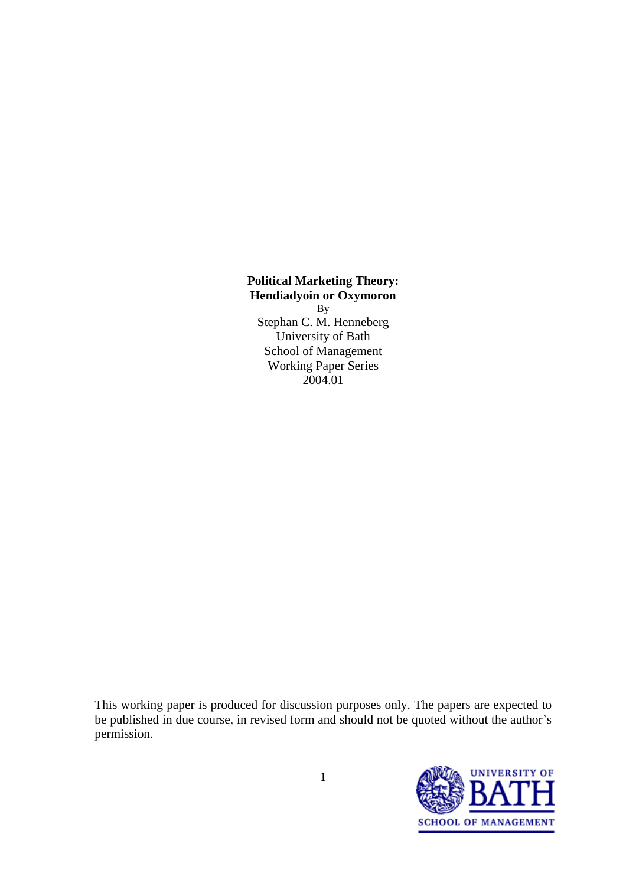#### **Political Marketing Theory: Hendiadyoin or Oxymoron**

By Stephan C. M. Henneberg University of Bath School of Management Working Paper Series 2004.01

This working paper is produced for discussion purposes only. The papers are expected to be published in due course, in revised form and should not be quoted without the author's permission.

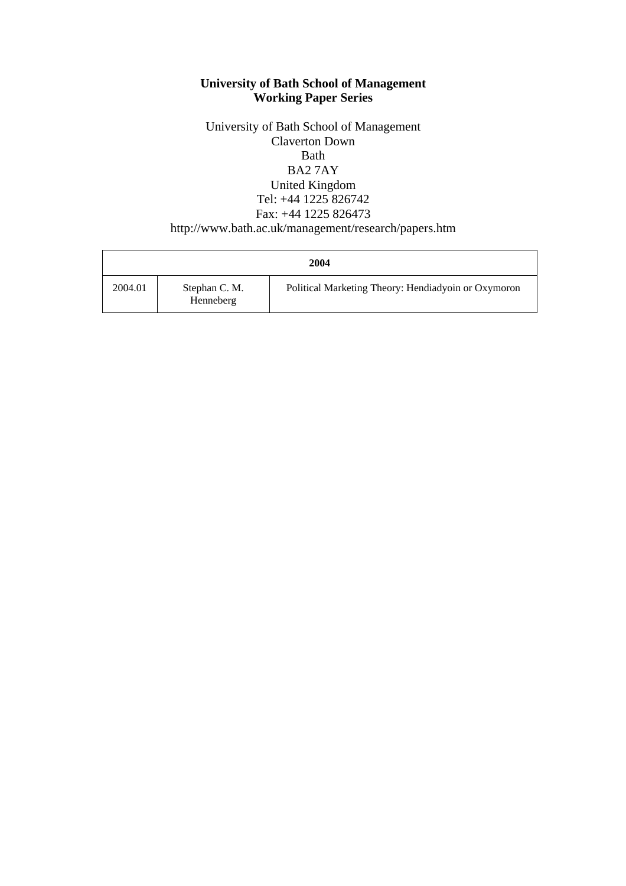#### **University of Bath School of Management Working Paper Series**

University of Bath School of Management Claverton Down Bath BA2 7AY United Kingdom Tel: +44 1225 826742 Fax: +44 1225 826473 http://www.bath.ac.uk/management/research/papers.htm

| 2004    |                            |                                                     |  |  |
|---------|----------------------------|-----------------------------------------------------|--|--|
| 2004.01 | Stephan C. M.<br>Henneberg | Political Marketing Theory: Hendiadyoin or Oxymoron |  |  |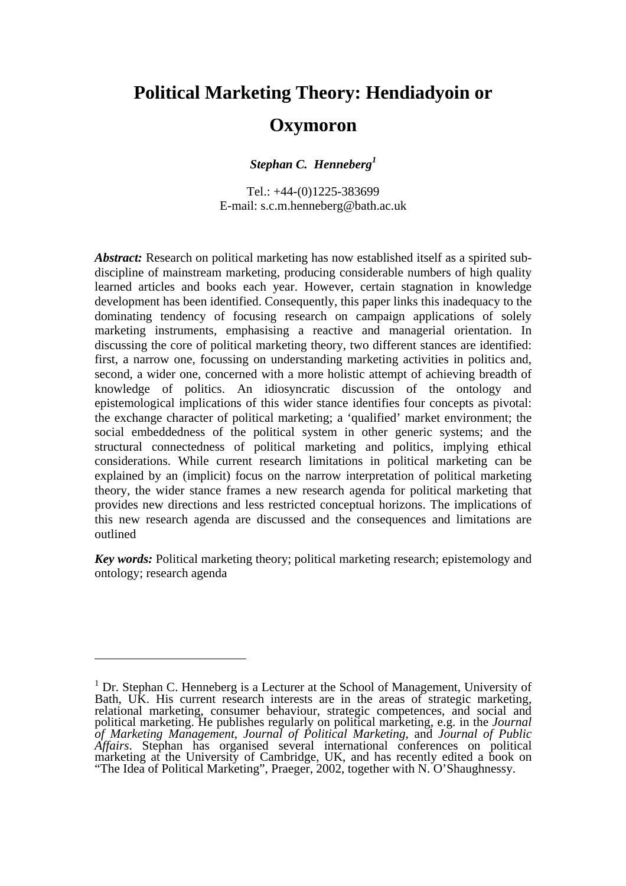## **Political Marketing Theory: Hendiadyoin or**

### **Oxymoron**

*Stephan C. Henneberg1*

Tel.: +44-(0)1225-383699 E-mail: s.c.m.henneberg@bath.ac.uk

Abstract: Research on political marketing has now established itself as a spirited subdiscipline of mainstream marketing, producing considerable numbers of high quality learned articles and books each year. However, certain stagnation in knowledge development has been identified. Consequently, this paper links this inadequacy to the dominating tendency of focusing research on campaign applications of solely marketing instruments, emphasising a reactive and managerial orientation. In discussing the core of political marketing theory, two different stances are identified: first, a narrow one, focussing on understanding marketing activities in politics and, second, a wider one, concerned with a more holistic attempt of achieving breadth of knowledge of politics. An idiosyncratic discussion of the ontology and epistemological implications of this wider stance identifies four concepts as pivotal: the exchange character of political marketing; a 'qualified' market environment; the social embeddedness of the political system in other generic systems; and the structural connectedness of political marketing and politics, implying ethical considerations. While current research limitations in political marketing can be explained by an (implicit) focus on the narrow interpretation of political marketing theory, the wider stance frames a new research agenda for political marketing that provides new directions and less restricted conceptual horizons. The implications of this new research agenda are discussed and the consequences and limitations are outlined

*Key words:* Political marketing theory; political marketing research; epistemology and ontology; research agenda

 $\overline{a}$ 

<sup>&</sup>lt;sup>1</sup> Dr. Stephan C. Henneberg is a Lecturer at the School of Management, University of Bath, UK. His current research interests are in the areas of strategic marketing, relational marketing, consumer behaviour, strategic competences, and social and political marketing. He publishes regularly on political marketing, e.g. in the *Journal of Marketing Management*, *Journal of Political Marketing*, and *Journal of Public Affairs*. Stephan has organised several international conferences on political marketing at the University of Cambridge, UK, and has recently edited a book on "The Idea of Political Marketing", Praeger, 2002, together with N. O'Shaughnessy.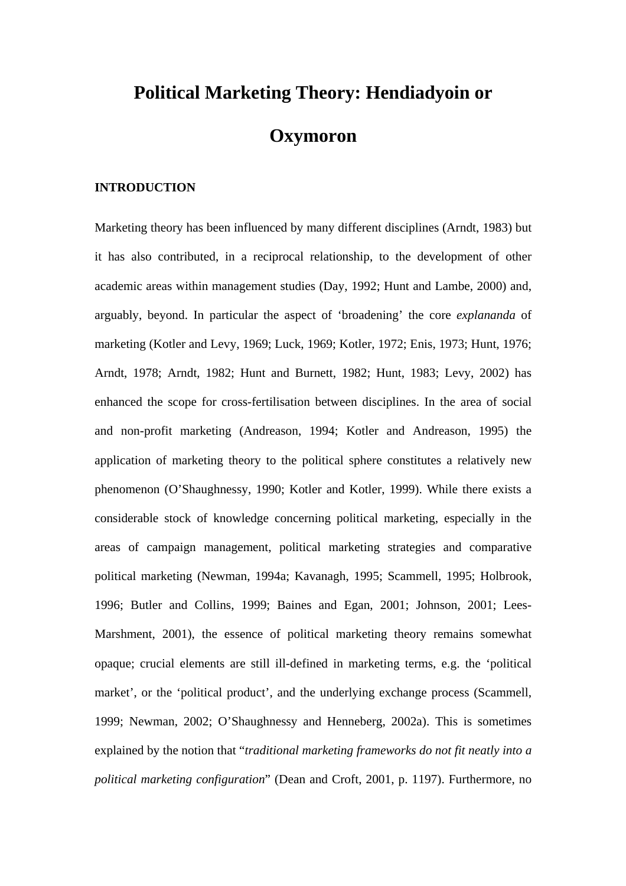# **Political Marketing Theory: Hendiadyoin or Oxymoron**

#### **INTRODUCTION**

Marketing theory has been influenced by many different disciplines (Arndt, 1983) but it has also contributed, in a reciprocal relationship, to the development of other academic areas within management studies (Day, 1992; Hunt and Lambe, 2000) and, arguably, beyond. In particular the aspect of 'broadening' the core *explananda* of marketing (Kotler and Levy, 1969; Luck, 1969; Kotler, 1972; Enis, 1973; Hunt, 1976; Arndt, 1978; Arndt, 1982; Hunt and Burnett, 1982; Hunt, 1983; Levy, 2002) has enhanced the scope for cross-fertilisation between disciplines. In the area of social and non-profit marketing (Andreason, 1994; Kotler and Andreason, 1995) the application of marketing theory to the political sphere constitutes a relatively new phenomenon (O'Shaughnessy, 1990; Kotler and Kotler, 1999). While there exists a considerable stock of knowledge concerning political marketing, especially in the areas of campaign management, political marketing strategies and comparative political marketing (Newman, 1994a; Kavanagh, 1995; Scammell, 1995; Holbrook, 1996; Butler and Collins, 1999; Baines and Egan, 2001; Johnson, 2001; Lees-Marshment, 2001), the essence of political marketing theory remains somewhat opaque; crucial elements are still ill-defined in marketing terms, e.g. the 'political market', or the 'political product', and the underlying exchange process (Scammell, 1999; Newman, 2002; O'Shaughnessy and Henneberg, 2002a). This is sometimes explained by the notion that "*traditional marketing frameworks do not fit neatly into a political marketing configuration*" (Dean and Croft, 2001, p. 1197). Furthermore, no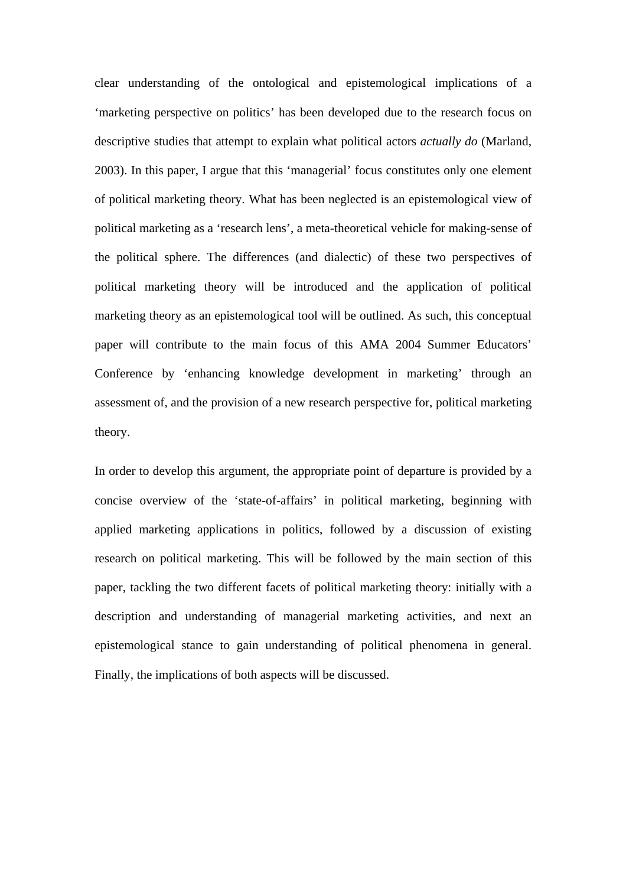clear understanding of the ontological and epistemological implications of a 'marketing perspective on politics' has been developed due to the research focus on descriptive studies that attempt to explain what political actors *actually do* (Marland, 2003). In this paper, I argue that this 'managerial' focus constitutes only one element of political marketing theory. What has been neglected is an epistemological view of political marketing as a 'research lens', a meta-theoretical vehicle for making-sense of the political sphere. The differences (and dialectic) of these two perspectives of political marketing theory will be introduced and the application of political marketing theory as an epistemological tool will be outlined. As such, this conceptual paper will contribute to the main focus of this AMA 2004 Summer Educators' Conference by 'enhancing knowledge development in marketing' through an assessment of, and the provision of a new research perspective for, political marketing theory.

In order to develop this argument, the appropriate point of departure is provided by a concise overview of the 'state-of-affairs' in political marketing, beginning with applied marketing applications in politics, followed by a discussion of existing research on political marketing. This will be followed by the main section of this paper, tackling the two different facets of political marketing theory: initially with a description and understanding of managerial marketing activities, and next an epistemological stance to gain understanding of political phenomena in general. Finally, the implications of both aspects will be discussed.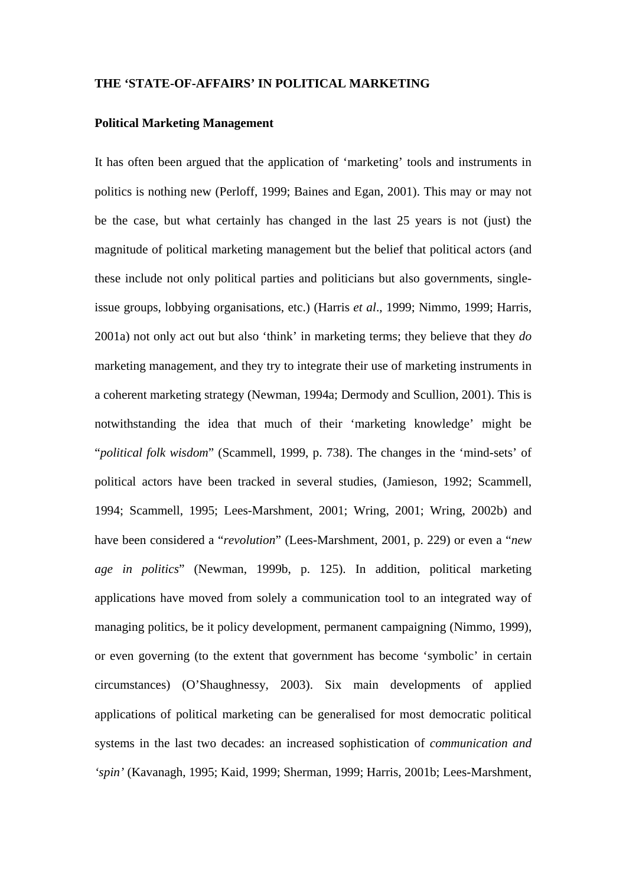#### **THE 'STATE-OF-AFFAIRS' IN POLITICAL MARKETING**

#### **Political Marketing Management**

It has often been argued that the application of 'marketing' tools and instruments in politics is nothing new (Perloff, 1999; Baines and Egan, 2001). This may or may not be the case, but what certainly has changed in the last 25 years is not (just) the magnitude of political marketing management but the belief that political actors (and these include not only political parties and politicians but also governments, singleissue groups, lobbying organisations, etc.) (Harris *et al*., 1999; Nimmo, 1999; Harris, 2001a) not only act out but also 'think' in marketing terms; they believe that they *do* marketing management, and they try to integrate their use of marketing instruments in a coherent marketing strategy (Newman, 1994a; Dermody and Scullion, 2001). This is notwithstanding the idea that much of their 'marketing knowledge' might be "*political folk wisdom*" (Scammell, 1999, p. 738). The changes in the 'mind-sets' of political actors have been tracked in several studies, (Jamieson, 1992; Scammell, 1994; Scammell, 1995; Lees-Marshment, 2001; Wring, 2001; Wring, 2002b) and have been considered a "*revolution*" (Lees-Marshment, 2001, p. 229) or even a "*new age in politics*" (Newman, 1999b, p. 125). In addition, political marketing applications have moved from solely a communication tool to an integrated way of managing politics, be it policy development, permanent campaigning (Nimmo, 1999), or even governing (to the extent that government has become 'symbolic' in certain circumstances) (O'Shaughnessy, 2003). Six main developments of applied applications of political marketing can be generalised for most democratic political systems in the last two decades: an increased sophistication of *communication and 'spin'* (Kavanagh, 1995; Kaid, 1999; Sherman, 1999; Harris, 2001b; Lees-Marshment,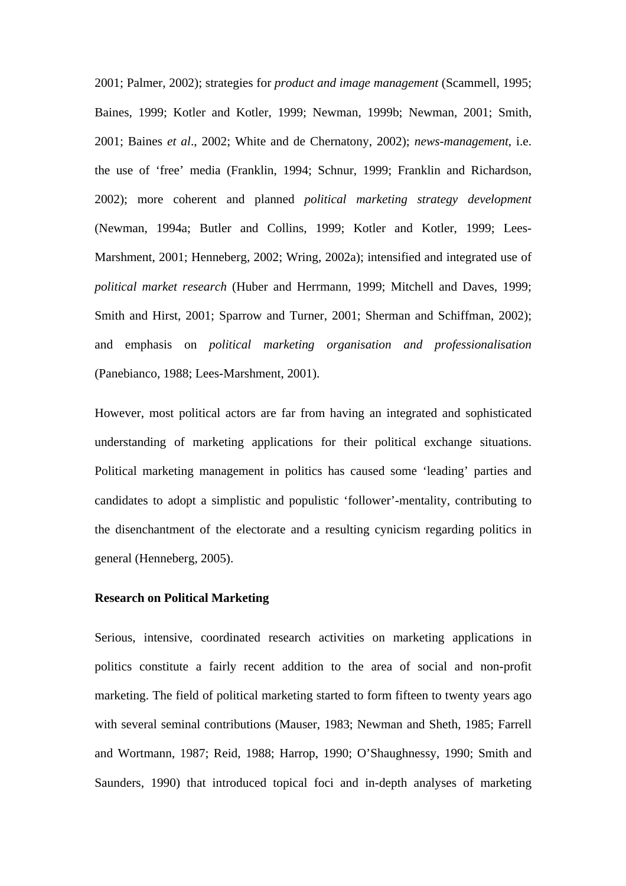2001; Palmer, 2002); strategies for *product and image management* (Scammell, 1995; Baines, 1999; Kotler and Kotler, 1999; Newman, 1999b; Newman, 2001; Smith, 2001; Baines *et al*., 2002; White and de Chernatony, 2002); *news-management*, i.e. the use of 'free' media (Franklin, 1994; Schnur, 1999; Franklin and Richardson, 2002); more coherent and planned *political marketing strategy development* (Newman, 1994a; Butler and Collins, 1999; Kotler and Kotler, 1999; Lees-Marshment, 2001; Henneberg, 2002; Wring, 2002a); intensified and integrated use of *political market research* (Huber and Herrmann, 1999; Mitchell and Daves, 1999; Smith and Hirst, 2001; Sparrow and Turner, 2001; Sherman and Schiffman, 2002); and emphasis on *political marketing organisation and professionalisation* (Panebianco, 1988; Lees-Marshment, 2001).

However, most political actors are far from having an integrated and sophisticated understanding of marketing applications for their political exchange situations. Political marketing management in politics has caused some 'leading' parties and candidates to adopt a simplistic and populistic 'follower'-mentality, contributing to the disenchantment of the electorate and a resulting cynicism regarding politics in general (Henneberg, 2005).

#### **Research on Political Marketing**

Serious, intensive, coordinated research activities on marketing applications in politics constitute a fairly recent addition to the area of social and non-profit marketing. The field of political marketing started to form fifteen to twenty years ago with several seminal contributions (Mauser, 1983; Newman and Sheth, 1985; Farrell and Wortmann, 1987; Reid, 1988; Harrop, 1990; O'Shaughnessy, 1990; Smith and Saunders, 1990) that introduced topical foci and in-depth analyses of marketing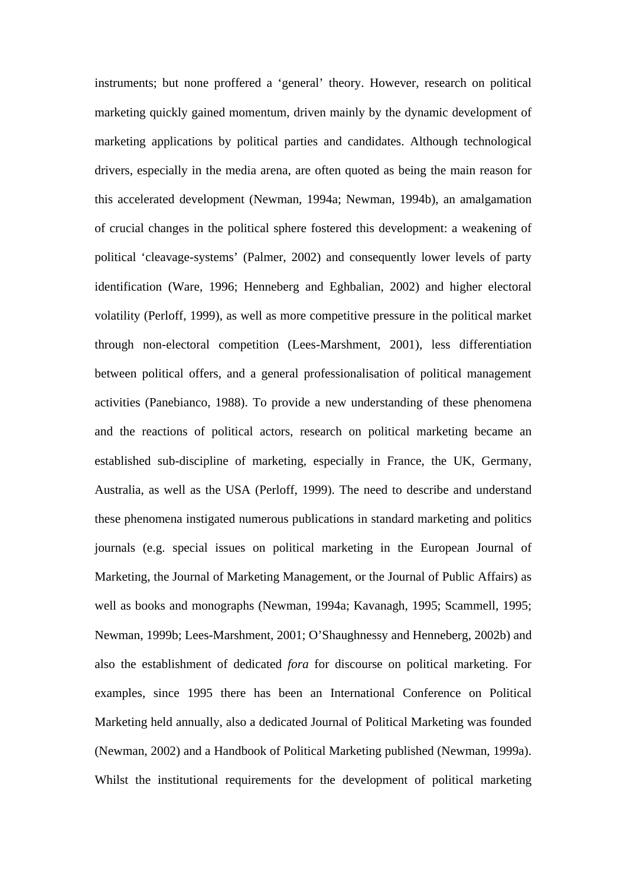instruments; but none proffered a 'general' theory. However, research on political marketing quickly gained momentum, driven mainly by the dynamic development of marketing applications by political parties and candidates. Although technological drivers, especially in the media arena, are often quoted as being the main reason for this accelerated development (Newman, 1994a; Newman, 1994b), an amalgamation of crucial changes in the political sphere fostered this development: a weakening of political 'cleavage-systems' (Palmer, 2002) and consequently lower levels of party identification (Ware, 1996; Henneberg and Eghbalian, 2002) and higher electoral volatility (Perloff, 1999), as well as more competitive pressure in the political market through non-electoral competition (Lees-Marshment, 2001), less differentiation between political offers, and a general professionalisation of political management activities (Panebianco, 1988). To provide a new understanding of these phenomena and the reactions of political actors, research on political marketing became an established sub-discipline of marketing, especially in France, the UK, Germany, Australia, as well as the USA (Perloff, 1999). The need to describe and understand these phenomena instigated numerous publications in standard marketing and politics journals (e.g. special issues on political marketing in the European Journal of Marketing, the Journal of Marketing Management, or the Journal of Public Affairs) as well as books and monographs (Newman, 1994a; Kavanagh, 1995; Scammell, 1995; Newman, 1999b; Lees-Marshment, 2001; O'Shaughnessy and Henneberg, 2002b) and also the establishment of dedicated *fora* for discourse on political marketing. For examples, since 1995 there has been an International Conference on Political Marketing held annually, also a dedicated Journal of Political Marketing was founded (Newman, 2002) and a Handbook of Political Marketing published (Newman, 1999a). Whilst the institutional requirements for the development of political marketing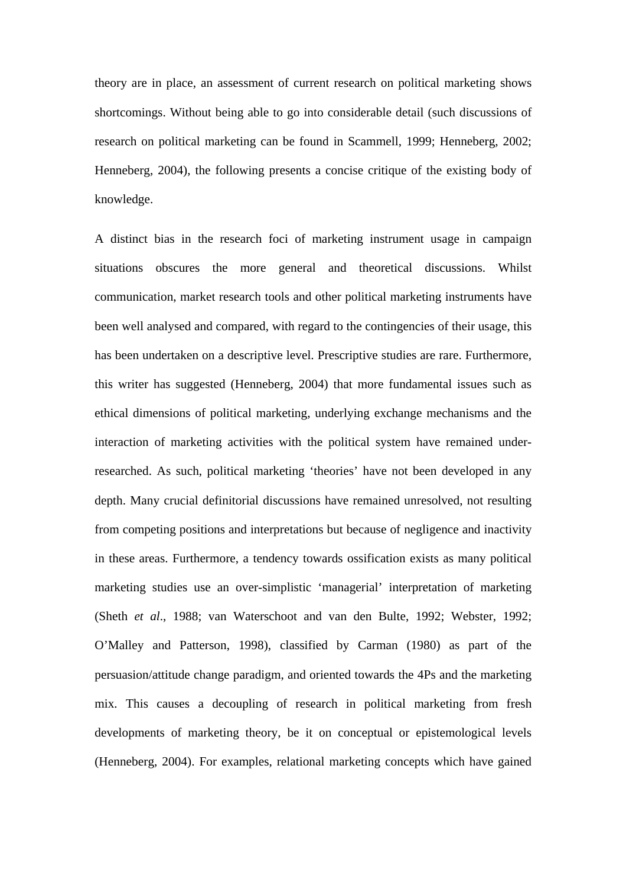theory are in place, an assessment of current research on political marketing shows shortcomings. Without being able to go into considerable detail (such discussions of research on political marketing can be found in Scammell, 1999; Henneberg, 2002; Henneberg, 2004), the following presents a concise critique of the existing body of knowledge.

A distinct bias in the research foci of marketing instrument usage in campaign situations obscures the more general and theoretical discussions. Whilst communication, market research tools and other political marketing instruments have been well analysed and compared, with regard to the contingencies of their usage, this has been undertaken on a descriptive level. Prescriptive studies are rare. Furthermore, this writer has suggested (Henneberg, 2004) that more fundamental issues such as ethical dimensions of political marketing, underlying exchange mechanisms and the interaction of marketing activities with the political system have remained underresearched. As such, political marketing 'theories' have not been developed in any depth. Many crucial definitorial discussions have remained unresolved, not resulting from competing positions and interpretations but because of negligence and inactivity in these areas. Furthermore, a tendency towards ossification exists as many political marketing studies use an over-simplistic 'managerial' interpretation of marketing (Sheth *et al*., 1988; van Waterschoot and van den Bulte, 1992; Webster, 1992; O'Malley and Patterson, 1998), classified by Carman (1980) as part of the persuasion/attitude change paradigm, and oriented towards the 4Ps and the marketing mix. This causes a decoupling of research in political marketing from fresh developments of marketing theory, be it on conceptual or epistemological levels (Henneberg, 2004). For examples, relational marketing concepts which have gained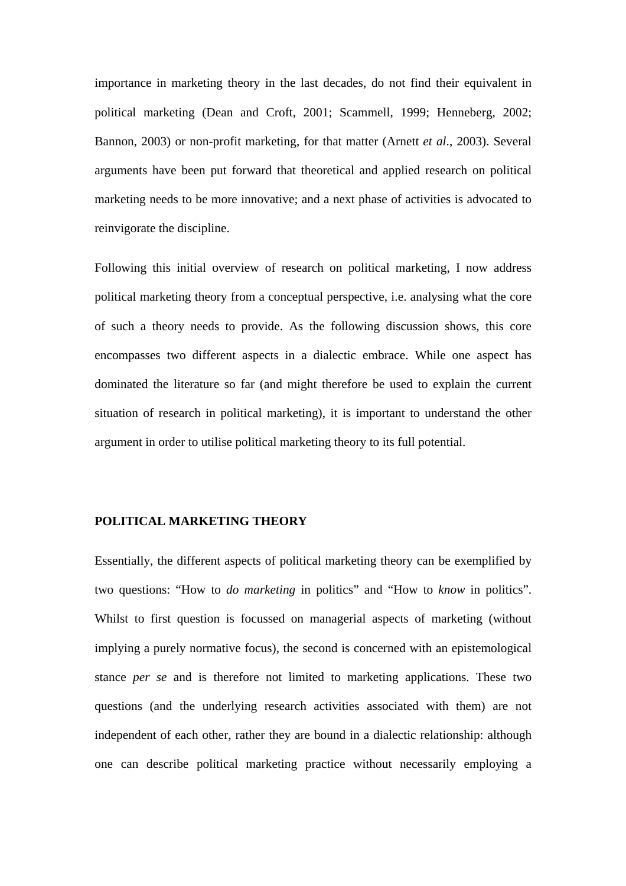importance in marketing theory in the last decades, do not find their equivalent in political marketing (Dean and Croft, 2001; Scammell, 1999; Henneberg, 2002; Bannon, 2003) or non-profit marketing, for that matter (Arnett *et al*., 2003). Several arguments have been put forward that theoretical and applied research on political marketing needs to be more innovative; and a next phase of activities is advocated to reinvigorate the discipline.

Following this initial overview of research on political marketing, I now address political marketing theory from a conceptual perspective, i.e. analysing what the core of such a theory needs to provide. As the following discussion shows, this core encompasses two different aspects in a dialectic embrace. While one aspect has dominated the literature so far (and might therefore be used to explain the current situation of research in political marketing), it is important to understand the other argument in order to utilise political marketing theory to its full potential.

#### **POLITICAL MARKETING THEORY**

Essentially, the different aspects of political marketing theory can be exemplified by two questions: "How to *do marketing* in politics" and "How to *know* in politics". Whilst to first question is focussed on managerial aspects of marketing (without implying a purely normative focus), the second is concerned with an epistemological stance *per se* and is therefore not limited to marketing applications. These two questions (and the underlying research activities associated with them) are not independent of each other, rather they are bound in a dialectic relationship: although one can describe political marketing practice without necessarily employing a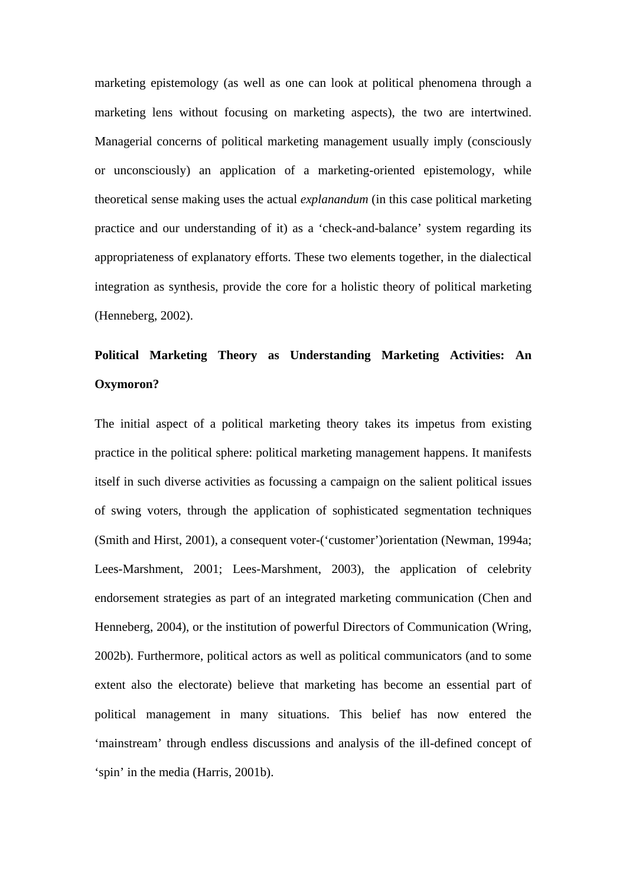marketing epistemology (as well as one can look at political phenomena through a marketing lens without focusing on marketing aspects), the two are intertwined. Managerial concerns of political marketing management usually imply (consciously or unconsciously) an application of a marketing-oriented epistemology, while theoretical sense making uses the actual *explanandum* (in this case political marketing practice and our understanding of it) as a 'check-and-balance' system regarding its appropriateness of explanatory efforts. These two elements together, in the dialectical integration as synthesis, provide the core for a holistic theory of political marketing (Henneberg, 2002).

## **Political Marketing Theory as Understanding Marketing Activities: An Oxymoron?**

The initial aspect of a political marketing theory takes its impetus from existing practice in the political sphere: political marketing management happens. It manifests itself in such diverse activities as focussing a campaign on the salient political issues of swing voters, through the application of sophisticated segmentation techniques (Smith and Hirst, 2001), a consequent voter-('customer')orientation (Newman, 1994a; Lees-Marshment, 2001; Lees-Marshment, 2003), the application of celebrity endorsement strategies as part of an integrated marketing communication (Chen and Henneberg, 2004), or the institution of powerful Directors of Communication (Wring, 2002b). Furthermore, political actors as well as political communicators (and to some extent also the electorate) believe that marketing has become an essential part of political management in many situations. This belief has now entered the 'mainstream' through endless discussions and analysis of the ill-defined concept of 'spin' in the media (Harris, 2001b).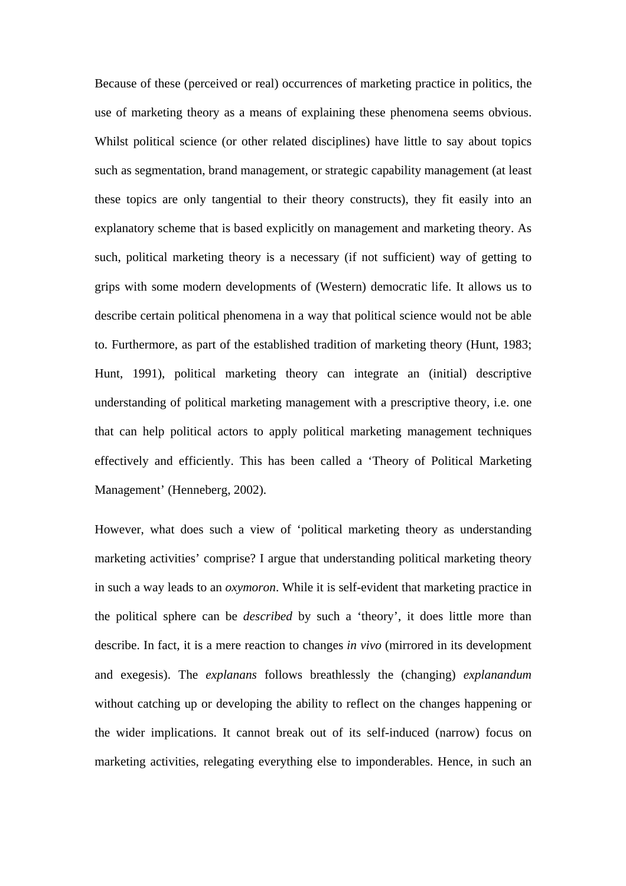Because of these (perceived or real) occurrences of marketing practice in politics, the use of marketing theory as a means of explaining these phenomena seems obvious. Whilst political science (or other related disciplines) have little to say about topics such as segmentation, brand management, or strategic capability management (at least these topics are only tangential to their theory constructs), they fit easily into an explanatory scheme that is based explicitly on management and marketing theory. As such, political marketing theory is a necessary (if not sufficient) way of getting to grips with some modern developments of (Western) democratic life. It allows us to describe certain political phenomena in a way that political science would not be able to. Furthermore, as part of the established tradition of marketing theory (Hunt, 1983; Hunt, 1991), political marketing theory can integrate an (initial) descriptive understanding of political marketing management with a prescriptive theory, i.e. one that can help political actors to apply political marketing management techniques effectively and efficiently. This has been called a 'Theory of Political Marketing Management' (Henneberg, 2002).

However, what does such a view of 'political marketing theory as understanding marketing activities' comprise? I argue that understanding political marketing theory in such a way leads to an *oxymoron*. While it is self-evident that marketing practice in the political sphere can be *described* by such a 'theory', it does little more than describe. In fact, it is a mere reaction to changes *in vivo* (mirrored in its development and exegesis). The *explanans* follows breathlessly the (changing) *explanandum* without catching up or developing the ability to reflect on the changes happening or the wider implications. It cannot break out of its self-induced (narrow) focus on marketing activities, relegating everything else to imponderables. Hence, in such an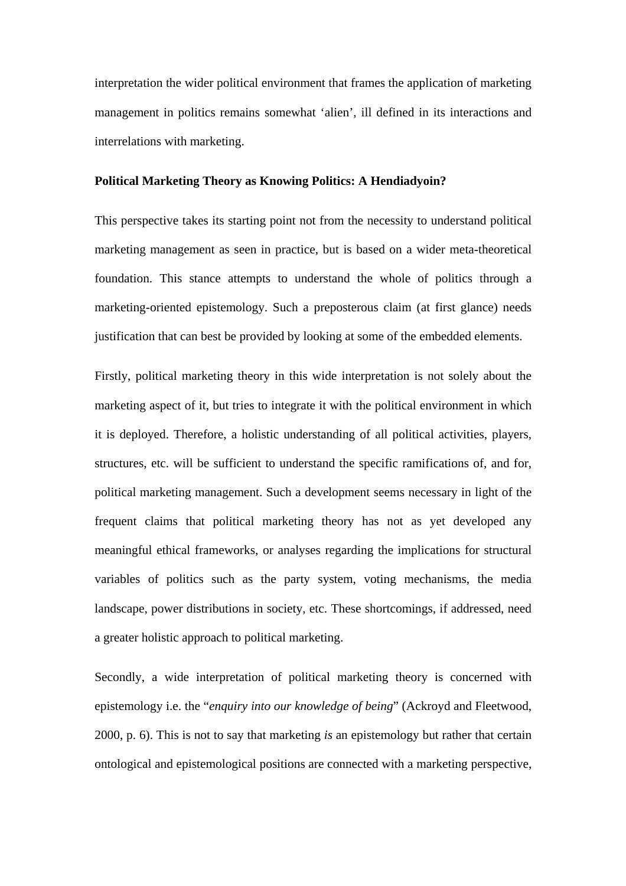interpretation the wider political environment that frames the application of marketing management in politics remains somewhat 'alien', ill defined in its interactions and interrelations with marketing.

#### **Political Marketing Theory as Knowing Politics: A Hendiadyoin?**

This perspective takes its starting point not from the necessity to understand political marketing management as seen in practice, but is based on a wider meta-theoretical foundation. This stance attempts to understand the whole of politics through a marketing-oriented epistemology. Such a preposterous claim (at first glance) needs justification that can best be provided by looking at some of the embedded elements.

Firstly, political marketing theory in this wide interpretation is not solely about the marketing aspect of it, but tries to integrate it with the political environment in which it is deployed. Therefore, a holistic understanding of all political activities, players, structures, etc. will be sufficient to understand the specific ramifications of, and for, political marketing management. Such a development seems necessary in light of the frequent claims that political marketing theory has not as yet developed any meaningful ethical frameworks, or analyses regarding the implications for structural variables of politics such as the party system, voting mechanisms, the media landscape, power distributions in society, etc. These shortcomings, if addressed, need a greater holistic approach to political marketing.

Secondly, a wide interpretation of political marketing theory is concerned with epistemology i.e. the "*enquiry into our knowledge of being*" (Ackroyd and Fleetwood, 2000, p. 6). This is not to say that marketing *is* an epistemology but rather that certain ontological and epistemological positions are connected with a marketing perspective,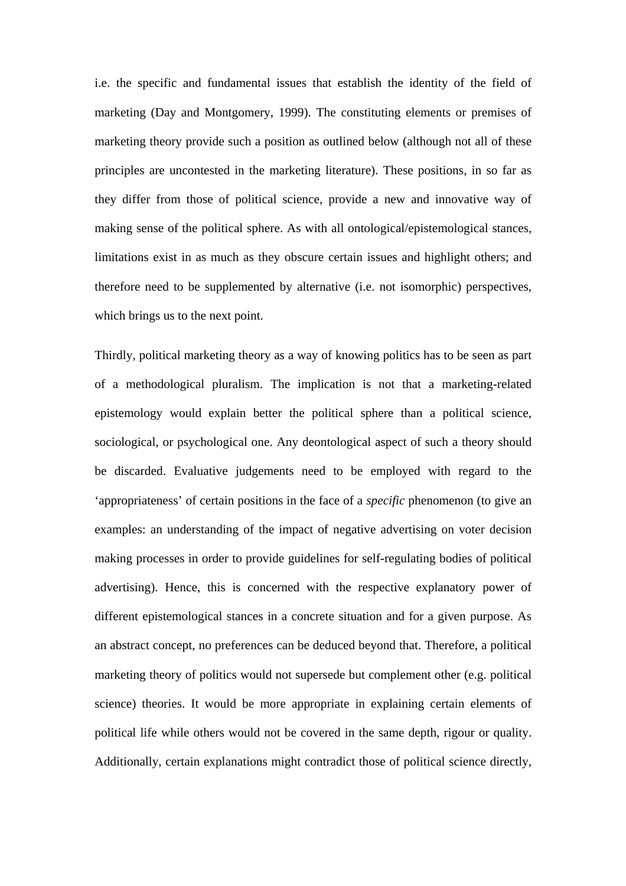i.e. the specific and fundamental issues that establish the identity of the field of marketing (Day and Montgomery, 1999). The constituting elements or premises of marketing theory provide such a position as outlined below (although not all of these principles are uncontested in the marketing literature). These positions, in so far as they differ from those of political science, provide a new and innovative way of making sense of the political sphere. As with all ontological/epistemological stances, limitations exist in as much as they obscure certain issues and highlight others; and therefore need to be supplemented by alternative (i.e. not isomorphic) perspectives, which brings us to the next point.

Thirdly, political marketing theory as a way of knowing politics has to be seen as part of a methodological pluralism. The implication is not that a marketing-related epistemology would explain better the political sphere than a political science, sociological, or psychological one. Any deontological aspect of such a theory should be discarded. Evaluative judgements need to be employed with regard to the 'appropriateness' of certain positions in the face of a *specific* phenomenon (to give an examples: an understanding of the impact of negative advertising on voter decision making processes in order to provide guidelines for self-regulating bodies of political advertising). Hence, this is concerned with the respective explanatory power of different epistemological stances in a concrete situation and for a given purpose. As an abstract concept, no preferences can be deduced beyond that. Therefore, a political marketing theory of politics would not supersede but complement other (e.g. political science) theories. It would be more appropriate in explaining certain elements of political life while others would not be covered in the same depth, rigour or quality. Additionally, certain explanations might contradict those of political science directly,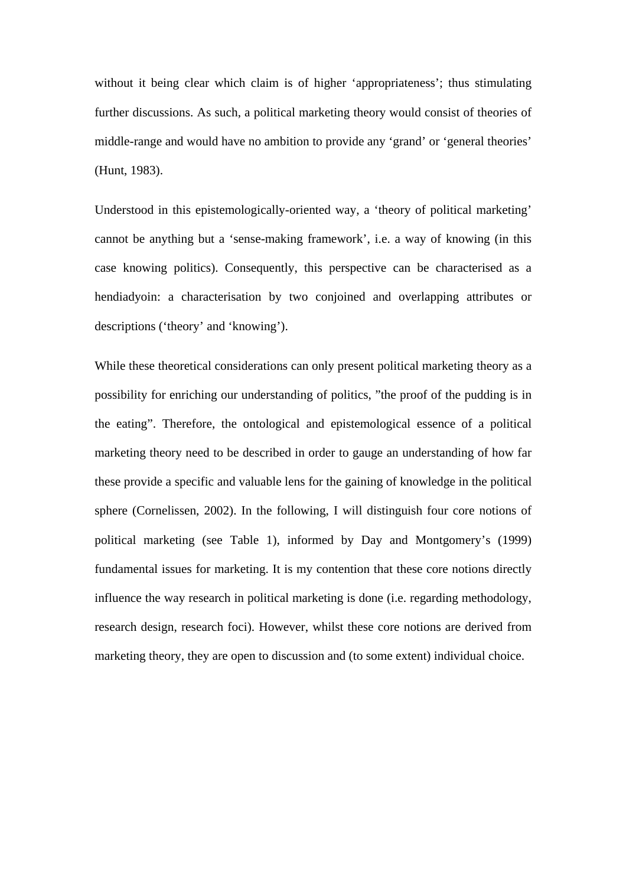without it being clear which claim is of higher 'appropriateness'; thus stimulating further discussions. As such, a political marketing theory would consist of theories of middle-range and would have no ambition to provide any 'grand' or 'general theories' (Hunt, 1983).

Understood in this epistemologically-oriented way, a 'theory of political marketing' cannot be anything but a 'sense-making framework', i.e. a way of knowing (in this case knowing politics). Consequently, this perspective can be characterised as a hendiadyoin: a characterisation by two conjoined and overlapping attributes or descriptions ('theory' and 'knowing').

While these theoretical considerations can only present political marketing theory as a possibility for enriching our understanding of politics, "the proof of the pudding is in the eating". Therefore, the ontological and epistemological essence of a political marketing theory need to be described in order to gauge an understanding of how far these provide a specific and valuable lens for the gaining of knowledge in the political sphere (Cornelissen, 2002). In the following, I will distinguish four core notions of political marketing (see Table 1), informed by Day and Montgomery's (1999) fundamental issues for marketing. It is my contention that these core notions directly influence the way research in political marketing is done (i.e. regarding methodology, research design, research foci). However, whilst these core notions are derived from marketing theory, they are open to discussion and (to some extent) individual choice.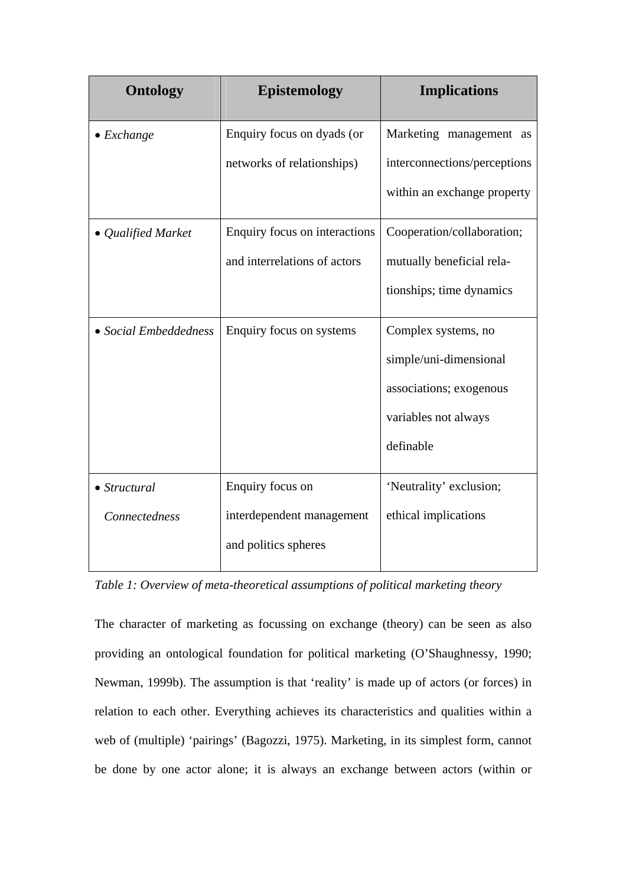| <b>Ontology</b>       | <b>Epistemology</b>           | <b>Implications</b>          |
|-----------------------|-------------------------------|------------------------------|
| $\bullet$ Exchange    | Enquiry focus on dyads (or    | Marketing management as      |
|                       | networks of relationships)    | interconnections/perceptions |
|                       |                               | within an exchange property  |
| • Qualified Market    | Enquiry focus on interactions | Cooperation/collaboration;   |
|                       | and interrelations of actors  | mutually beneficial rela-    |
|                       |                               | tionships; time dynamics     |
| • Social Embeddedness | Enquiry focus on systems      | Complex systems, no          |
|                       |                               | simple/uni-dimensional       |
|                       |                               | associations; exogenous      |
|                       |                               | variables not always         |
|                       |                               | definable                    |
| $\bullet$ Structural  | Enquiry focus on              | 'Neutrality' exclusion;      |
| Connectedness         | interdependent management     | ethical implications         |
|                       | and politics spheres          |                              |

*Table 1: Overview of meta-theoretical assumptions of political marketing theory*

The character of marketing as focussing on exchange (theory) can be seen as also providing an ontological foundation for political marketing (O'Shaughnessy, 1990; Newman, 1999b). The assumption is that 'reality' is made up of actors (or forces) in relation to each other. Everything achieves its characteristics and qualities within a web of (multiple) 'pairings' (Bagozzi, 1975). Marketing, in its simplest form, cannot be done by one actor alone; it is always an exchange between actors (within or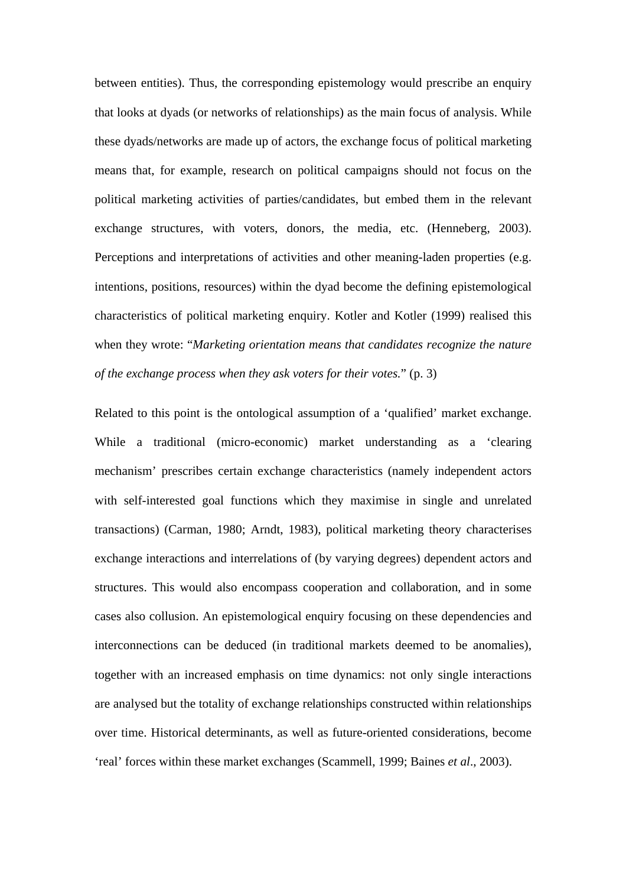between entities). Thus, the corresponding epistemology would prescribe an enquiry that looks at dyads (or networks of relationships) as the main focus of analysis. While these dyads/networks are made up of actors, the exchange focus of political marketing means that, for example, research on political campaigns should not focus on the political marketing activities of parties/candidates, but embed them in the relevant exchange structures, with voters, donors, the media, etc. (Henneberg, 2003). Perceptions and interpretations of activities and other meaning-laden properties (e.g. intentions, positions, resources) within the dyad become the defining epistemological characteristics of political marketing enquiry. Kotler and Kotler (1999) realised this when they wrote: "*Marketing orientation means that candidates recognize the nature of the exchange process when they ask voters for their votes.*" (p. 3)

Related to this point is the ontological assumption of a 'qualified' market exchange. While a traditional (micro-economic) market understanding as a 'clearing mechanism' prescribes certain exchange characteristics (namely independent actors with self-interested goal functions which they maximise in single and unrelated transactions) (Carman, 1980; Arndt, 1983), political marketing theory characterises exchange interactions and interrelations of (by varying degrees) dependent actors and structures. This would also encompass cooperation and collaboration, and in some cases also collusion. An epistemological enquiry focusing on these dependencies and interconnections can be deduced (in traditional markets deemed to be anomalies), together with an increased emphasis on time dynamics: not only single interactions are analysed but the totality of exchange relationships constructed within relationships over time. Historical determinants, as well as future-oriented considerations, become 'real' forces within these market exchanges (Scammell, 1999; Baines *et al*., 2003).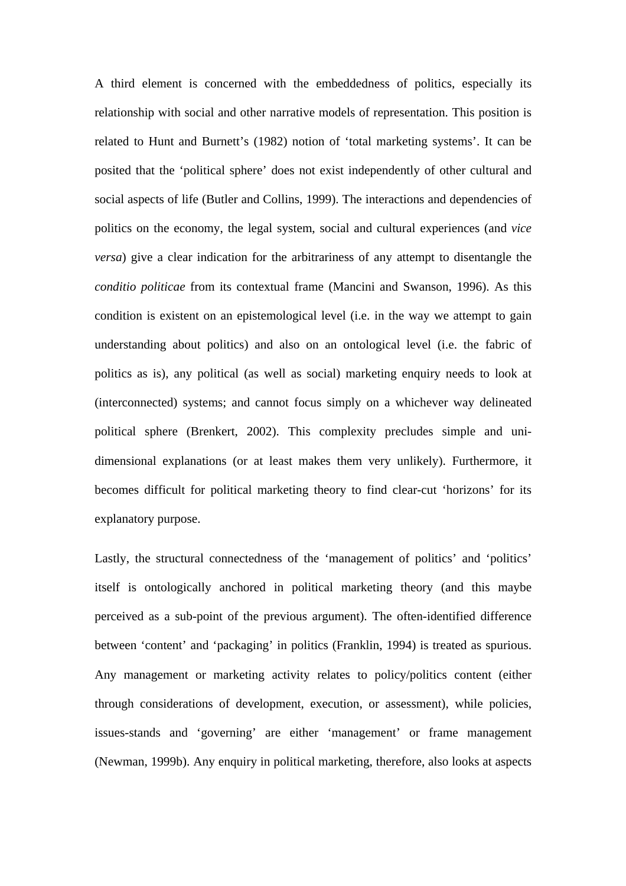A third element is concerned with the embeddedness of politics, especially its relationship with social and other narrative models of representation. This position is related to Hunt and Burnett's (1982) notion of 'total marketing systems'. It can be posited that the 'political sphere' does not exist independently of other cultural and social aspects of life (Butler and Collins, 1999). The interactions and dependencies of politics on the economy, the legal system, social and cultural experiences (and *vice versa*) give a clear indication for the arbitrariness of any attempt to disentangle the *conditio politicae* from its contextual frame (Mancini and Swanson, 1996). As this condition is existent on an epistemological level (i.e. in the way we attempt to gain understanding about politics) and also on an ontological level (i.e. the fabric of politics as is), any political (as well as social) marketing enquiry needs to look at (interconnected) systems; and cannot focus simply on a whichever way delineated political sphere (Brenkert, 2002). This complexity precludes simple and unidimensional explanations (or at least makes them very unlikely). Furthermore, it becomes difficult for political marketing theory to find clear-cut 'horizons' for its explanatory purpose.

Lastly, the structural connectedness of the 'management of politics' and 'politics' itself is ontologically anchored in political marketing theory (and this maybe perceived as a sub-point of the previous argument). The often-identified difference between 'content' and 'packaging' in politics (Franklin, 1994) is treated as spurious. Any management or marketing activity relates to policy/politics content (either through considerations of development, execution, or assessment), while policies, issues-stands and 'governing' are either 'management' or frame management (Newman, 1999b). Any enquiry in political marketing, therefore, also looks at aspects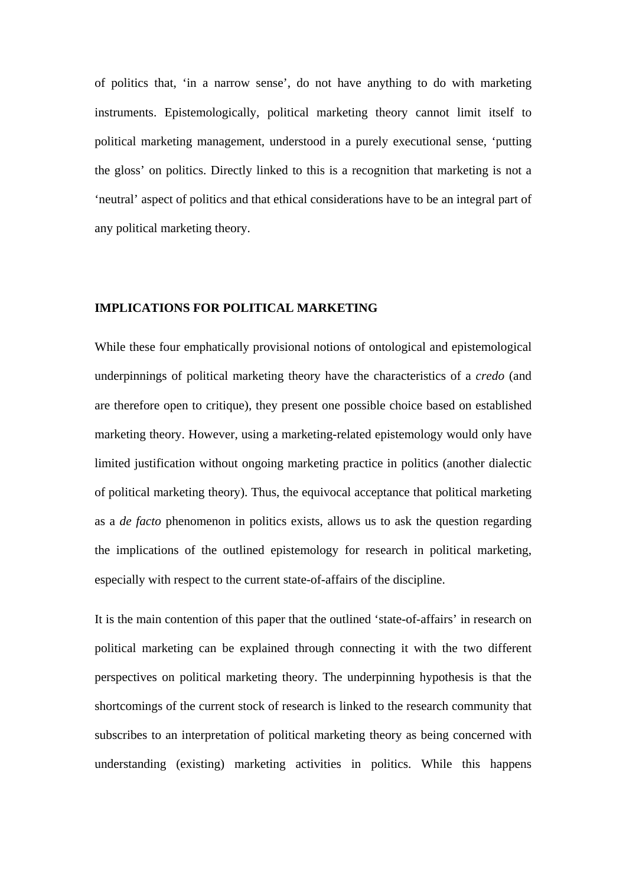of politics that, 'in a narrow sense', do not have anything to do with marketing instruments. Epistemologically, political marketing theory cannot limit itself to political marketing management, understood in a purely executional sense, 'putting the gloss' on politics. Directly linked to this is a recognition that marketing is not a 'neutral' aspect of politics and that ethical considerations have to be an integral part of any political marketing theory.

#### **IMPLICATIONS FOR POLITICAL MARKETING**

While these four emphatically provisional notions of ontological and epistemological underpinnings of political marketing theory have the characteristics of a *credo* (and are therefore open to critique), they present one possible choice based on established marketing theory. However, using a marketing-related epistemology would only have limited justification without ongoing marketing practice in politics (another dialectic of political marketing theory). Thus, the equivocal acceptance that political marketing as a *de facto* phenomenon in politics exists, allows us to ask the question regarding the implications of the outlined epistemology for research in political marketing, especially with respect to the current state-of-affairs of the discipline.

It is the main contention of this paper that the outlined 'state-of-affairs' in research on political marketing can be explained through connecting it with the two different perspectives on political marketing theory. The underpinning hypothesis is that the shortcomings of the current stock of research is linked to the research community that subscribes to an interpretation of political marketing theory as being concerned with understanding (existing) marketing activities in politics. While this happens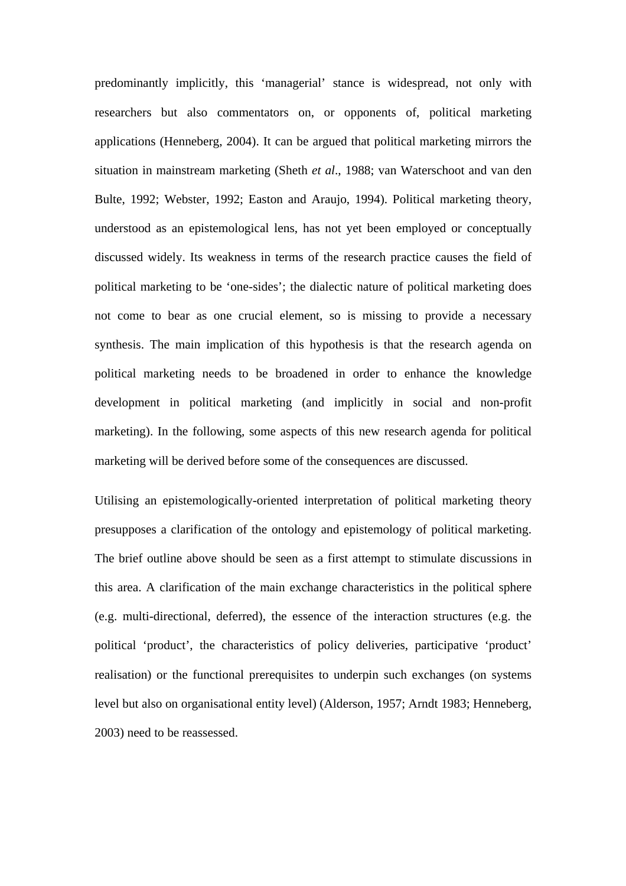predominantly implicitly, this 'managerial' stance is widespread, not only with researchers but also commentators on, or opponents of, political marketing applications (Henneberg, 2004). It can be argued that political marketing mirrors the situation in mainstream marketing (Sheth *et al*., 1988; van Waterschoot and van den Bulte, 1992; Webster, 1992; Easton and Araujo, 1994). Political marketing theory, understood as an epistemological lens, has not yet been employed or conceptually discussed widely. Its weakness in terms of the research practice causes the field of political marketing to be 'one-sides'; the dialectic nature of political marketing does not come to bear as one crucial element, so is missing to provide a necessary synthesis. The main implication of this hypothesis is that the research agenda on political marketing needs to be broadened in order to enhance the knowledge development in political marketing (and implicitly in social and non-profit marketing). In the following, some aspects of this new research agenda for political marketing will be derived before some of the consequences are discussed.

Utilising an epistemologically-oriented interpretation of political marketing theory presupposes a clarification of the ontology and epistemology of political marketing. The brief outline above should be seen as a first attempt to stimulate discussions in this area. A clarification of the main exchange characteristics in the political sphere (e.g. multi-directional, deferred), the essence of the interaction structures (e.g. the political 'product', the characteristics of policy deliveries, participative 'product' realisation) or the functional prerequisites to underpin such exchanges (on systems level but also on organisational entity level) (Alderson, 1957; Arndt 1983; Henneberg, 2003) need to be reassessed.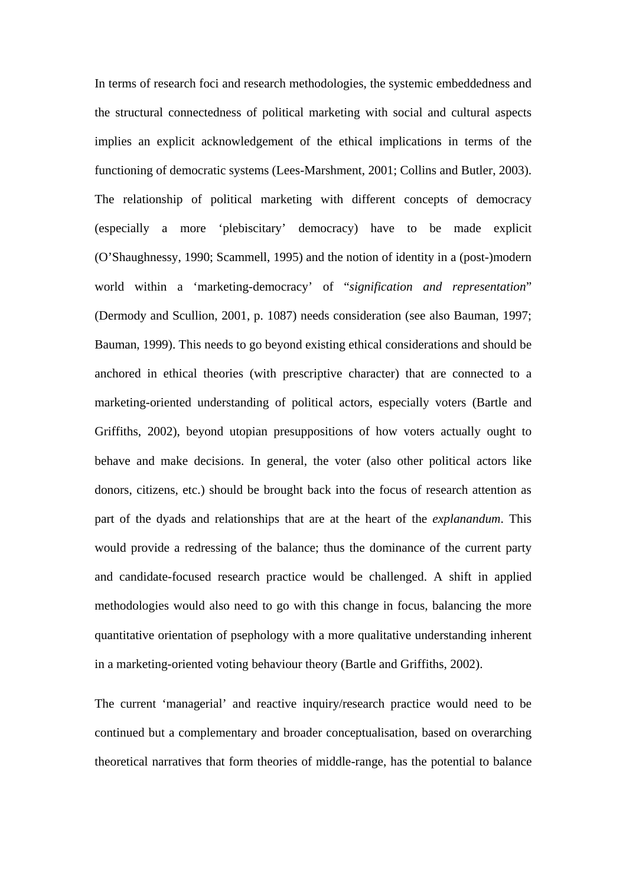In terms of research foci and research methodologies, the systemic embeddedness and the structural connectedness of political marketing with social and cultural aspects implies an explicit acknowledgement of the ethical implications in terms of the functioning of democratic systems (Lees-Marshment, 2001; Collins and Butler, 2003). The relationship of political marketing with different concepts of democracy (especially a more 'plebiscitary' democracy) have to be made explicit (O'Shaughnessy, 1990; Scammell, 1995) and the notion of identity in a (post-)modern world within a 'marketing-democracy' of "*signification and representation*" (Dermody and Scullion, 2001, p. 1087) needs consideration (see also Bauman, 1997; Bauman, 1999). This needs to go beyond existing ethical considerations and should be anchored in ethical theories (with prescriptive character) that are connected to a marketing-oriented understanding of political actors, especially voters (Bartle and Griffiths, 2002), beyond utopian presuppositions of how voters actually ought to behave and make decisions. In general, the voter (also other political actors like donors, citizens, etc.) should be brought back into the focus of research attention as part of the dyads and relationships that are at the heart of the *explanandum*. This would provide a redressing of the balance; thus the dominance of the current party and candidate-focused research practice would be challenged. A shift in applied methodologies would also need to go with this change in focus, balancing the more quantitative orientation of psephology with a more qualitative understanding inherent in a marketing-oriented voting behaviour theory (Bartle and Griffiths, 2002).

The current 'managerial' and reactive inquiry/research practice would need to be continued but a complementary and broader conceptualisation, based on overarching theoretical narratives that form theories of middle-range, has the potential to balance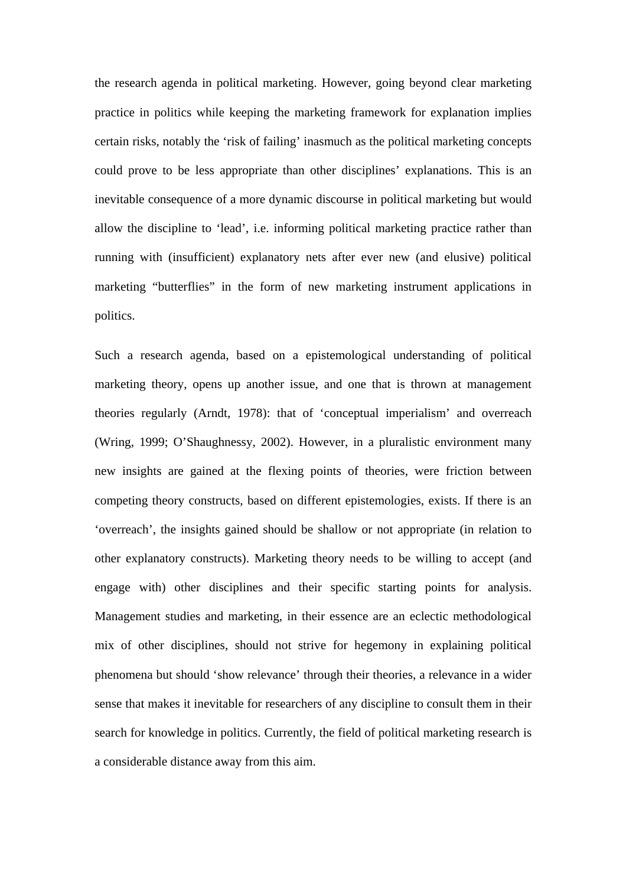the research agenda in political marketing. However, going beyond clear marketing practice in politics while keeping the marketing framework for explanation implies certain risks, notably the 'risk of failing' inasmuch as the political marketing concepts could prove to be less appropriate than other disciplines' explanations. This is an inevitable consequence of a more dynamic discourse in political marketing but would allow the discipline to 'lead', i.e. informing political marketing practice rather than running with (insufficient) explanatory nets after ever new (and elusive) political marketing "butterflies" in the form of new marketing instrument applications in politics.

Such a research agenda, based on a epistemological understanding of political marketing theory, opens up another issue, and one that is thrown at management theories regularly (Arndt, 1978): that of 'conceptual imperialism' and overreach (Wring, 1999; O'Shaughnessy, 2002). However, in a pluralistic environment many new insights are gained at the flexing points of theories, were friction between competing theory constructs, based on different epistemologies, exists. If there is an 'overreach', the insights gained should be shallow or not appropriate (in relation to other explanatory constructs). Marketing theory needs to be willing to accept (and engage with) other disciplines and their specific starting points for analysis. Management studies and marketing, in their essence are an eclectic methodological mix of other disciplines, should not strive for hegemony in explaining political phenomena but should 'show relevance' through their theories, a relevance in a wider sense that makes it inevitable for researchers of any discipline to consult them in their search for knowledge in politics. Currently, the field of political marketing research is a considerable distance away from this aim.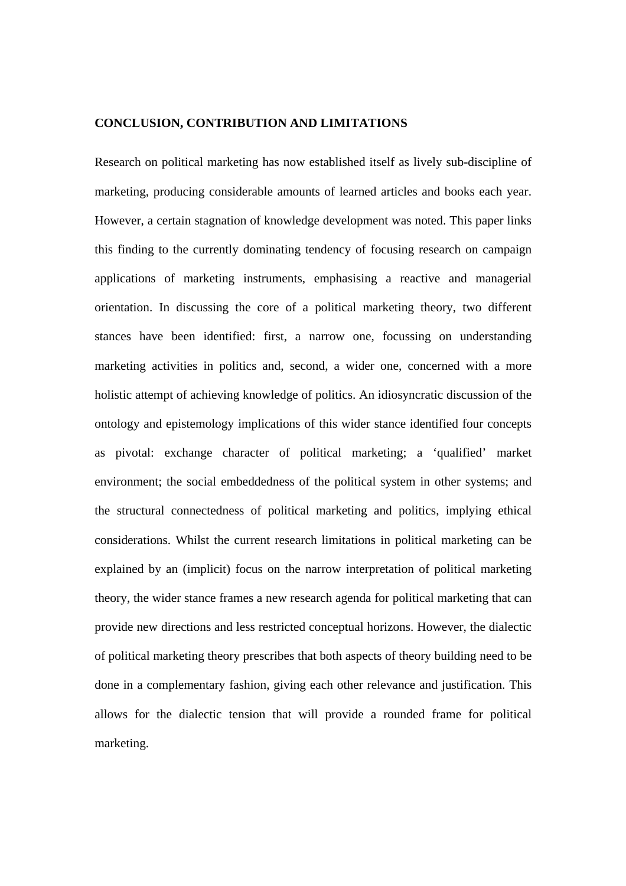#### **CONCLUSION, CONTRIBUTION AND LIMITATIONS**

Research on political marketing has now established itself as lively sub-discipline of marketing, producing considerable amounts of learned articles and books each year. However, a certain stagnation of knowledge development was noted. This paper links this finding to the currently dominating tendency of focusing research on campaign applications of marketing instruments, emphasising a reactive and managerial orientation. In discussing the core of a political marketing theory, two different stances have been identified: first, a narrow one, focussing on understanding marketing activities in politics and, second, a wider one, concerned with a more holistic attempt of achieving knowledge of politics. An idiosyncratic discussion of the ontology and epistemology implications of this wider stance identified four concepts as pivotal: exchange character of political marketing; a 'qualified' market environment; the social embeddedness of the political system in other systems; and the structural connectedness of political marketing and politics, implying ethical considerations. Whilst the current research limitations in political marketing can be explained by an (implicit) focus on the narrow interpretation of political marketing theory, the wider stance frames a new research agenda for political marketing that can provide new directions and less restricted conceptual horizons. However, the dialectic of political marketing theory prescribes that both aspects of theory building need to be done in a complementary fashion, giving each other relevance and justification. This allows for the dialectic tension that will provide a rounded frame for political marketing.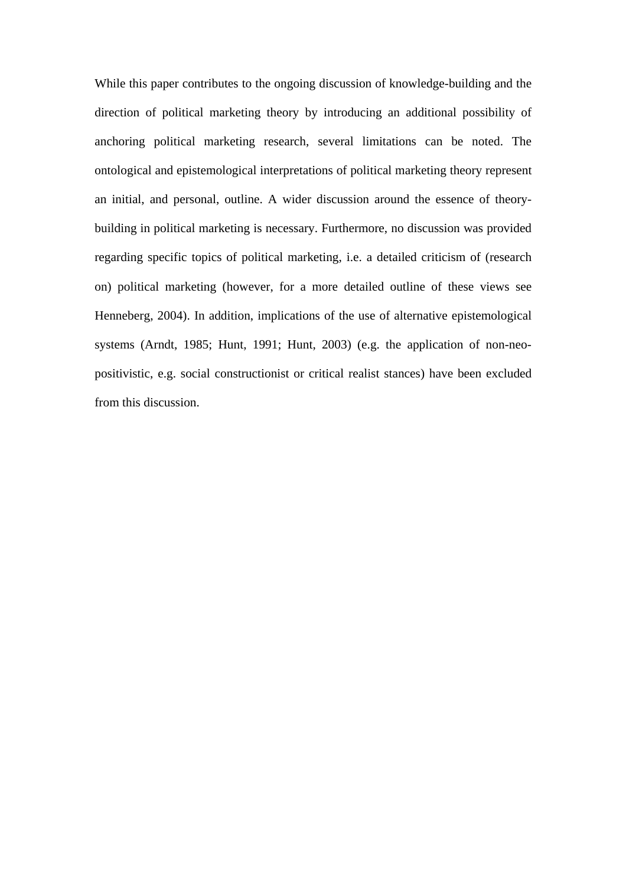While this paper contributes to the ongoing discussion of knowledge-building and the direction of political marketing theory by introducing an additional possibility of anchoring political marketing research, several limitations can be noted. The ontological and epistemological interpretations of political marketing theory represent an initial, and personal, outline. A wider discussion around the essence of theorybuilding in political marketing is necessary. Furthermore, no discussion was provided regarding specific topics of political marketing, i.e. a detailed criticism of (research on) political marketing (however, for a more detailed outline of these views see Henneberg, 2004). In addition, implications of the use of alternative epistemological systems (Arndt, 1985; Hunt, 1991; Hunt, 2003) (e.g. the application of non-neopositivistic, e.g. social constructionist or critical realist stances) have been excluded from this discussion.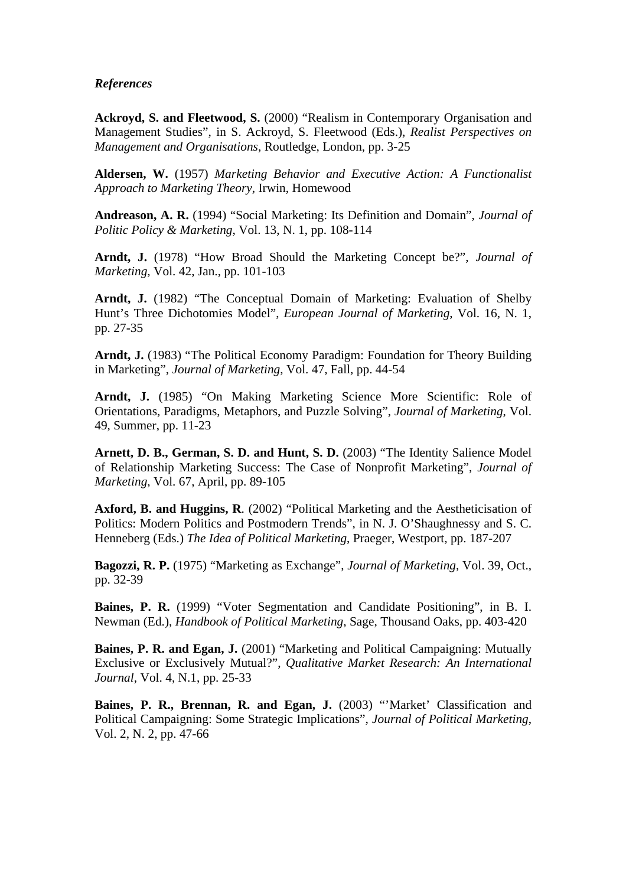#### *References*

Ackroyd, S. and Fleetwood, S. (2000) "Realism in Contemporary Organisation and Management Studies", in S. Ackroyd, S. Fleetwood (Eds.), *Realist Perspectives on Management and Organisations*, Routledge, London, pp. 3-25

**Aldersen, W.** (1957) *Marketing Behavior and Executive Action: A Functionalist Approach to Marketing Theory*, Irwin, Homewood

**Andreason, A. R.** (1994) "Social Marketing: Its Definition and Domain", *Journal of Politic Policy & Marketing*, Vol. 13, N. 1, pp. 108-114

**Arndt, J.** (1978) "How Broad Should the Marketing Concept be?", *Journal of Marketing*, Vol. 42, Jan., pp. 101-103

Arndt, J. (1982) "The Conceptual Domain of Marketing: Evaluation of Shelby Hunt's Three Dichotomies Model", *European Journal of Marketing*, Vol. 16, N. 1, pp. 27-35

**Arndt, J.** (1983) "The Political Economy Paradigm: Foundation for Theory Building in Marketing", *Journal of Marketing*, Vol. 47, Fall, pp. 44-54

**Arndt, J.** (1985) "On Making Marketing Science More Scientific: Role of Orientations, Paradigms, Metaphors, and Puzzle Solving", *Journal of Marketing*, Vol. 49, Summer, pp. 11-23

Arnett, D. B., German, S. D. and Hunt, S. D. (2003) "The Identity Salience Model of Relationship Marketing Success: The Case of Nonprofit Marketing", *Journal of Marketing*, Vol. 67, April, pp. 89-105

**Axford, B. and Huggins, R**. (2002) "Political Marketing and the Aestheticisation of Politics: Modern Politics and Postmodern Trends", in N. J. O'Shaughnessy and S. C. Henneberg (Eds.) *The Idea of Political Marketing*, Praeger, Westport, pp. 187-207

**Bagozzi, R. P.** (1975) "Marketing as Exchange", *Journal of Marketing*, Vol. 39, Oct., pp. 32-39

**Baines, P. R.** (1999) "Voter Segmentation and Candidate Positioning", in B. I. Newman (Ed.), *Handbook of Political Marketing*, Sage, Thousand Oaks, pp. 403-420

**Baines, P. R. and Egan, J.** (2001) "Marketing and Political Campaigning: Mutually Exclusive or Exclusively Mutual?", *Qualitative Market Research: An International Journal*, Vol. 4, N.1, pp. 25-33

**Baines, P. R., Brennan, R. and Egan, J.** (2003) "'Market' Classification and Political Campaigning: Some Strategic Implications", *Journal of Political Marketing*, Vol. 2, N. 2, pp. 47-66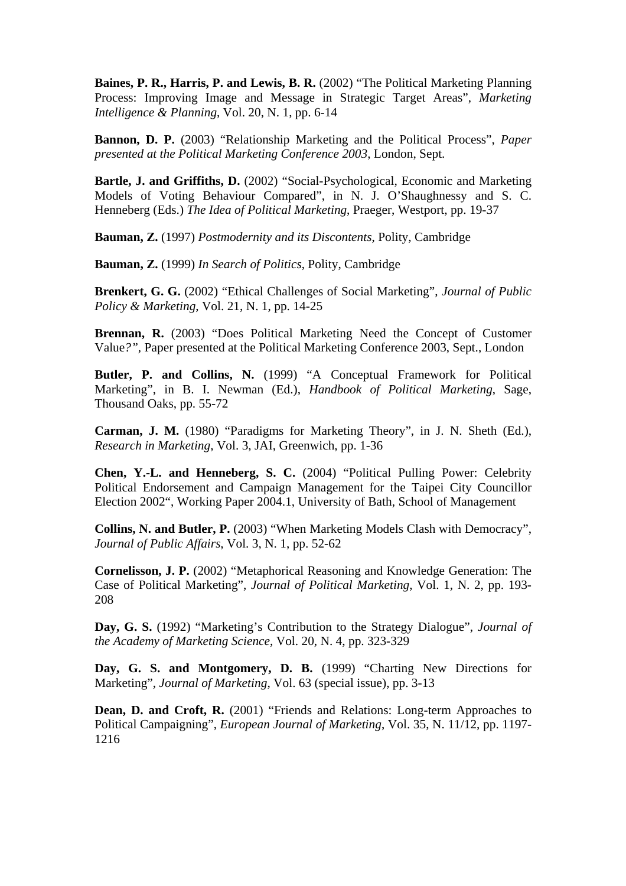**Baines, P. R., Harris, P. and Lewis, B. R.** (2002) "The Political Marketing Planning Process: Improving Image and Message in Strategic Target Areas", *Marketing Intelligence & Planning*, Vol. 20, N. 1, pp. 6-14

**Bannon, D. P.** (2003) "Relationship Marketing and the Political Process", *Paper presented at the Political Marketing Conference 2003*, London, Sept.

**Bartle, J. and Griffiths, D.** (2002) "Social-Psychological, Economic and Marketing Models of Voting Behaviour Compared", in N. J. O'Shaughnessy and S. C. Henneberg (Eds.) *The Idea of Political Marketing*, Praeger, Westport, pp. 19-37

**Bauman, Z.** (1997) *Postmodernity and its Discontents*, Polity, Cambridge

**Bauman, Z.** (1999) *In Search of Politics*, Polity, Cambridge

**Brenkert, G. G.** (2002) "Ethical Challenges of Social Marketing", *Journal of Public Policy & Marketing*, Vol. 21, N. 1, pp. 14-25

**Brennan, R.** (2003) "Does Political Marketing Need the Concept of Customer Value*?",* Paper presented at the Political Marketing Conference 2003, Sept., London

**Butler, P. and Collins, N.** (1999) "A Conceptual Framework for Political Marketing", in B. I. Newman (Ed.), *Handbook of Political Marketing*, Sage, Thousand Oaks, pp. 55-72

**Carman, J. M.** (1980) "Paradigms for Marketing Theory", in J. N. Sheth (Ed.), *Research in Marketing*, Vol. 3, JAI, Greenwich, pp. 1-36

**Chen, Y.-L. and Henneberg, S. C.** (2004) "Political Pulling Power: Celebrity Political Endorsement and Campaign Management for the Taipei City Councillor Election 2002", Working Paper 2004.1, University of Bath, School of Management

**Collins, N. and Butler, P.** (2003) "When Marketing Models Clash with Democracy", *Journal of Public Affairs*, Vol. 3, N. 1, pp. 52-62

**Cornelisson, J. P.** (2002) "Metaphorical Reasoning and Knowledge Generation: The Case of Political Marketing", *Journal of Political Marketing*, Vol. 1, N. 2, pp. 193- 208

**Day, G. S.** (1992) "Marketing's Contribution to the Strategy Dialogue", *Journal of the Academy of Marketing Science*, Vol. 20, N. 4, pp. 323-329

**Day, G. S. and Montgomery, D. B.** (1999) "Charting New Directions for Marketing", *Journal of Marketing*, Vol. 63 (special issue), pp. 3-13

Dean, D. and Croft, R. (2001) "Friends and Relations: Long-term Approaches to Political Campaigning", *European Journal of Marketing*, Vol. 35, N. 11/12, pp. 1197- 1216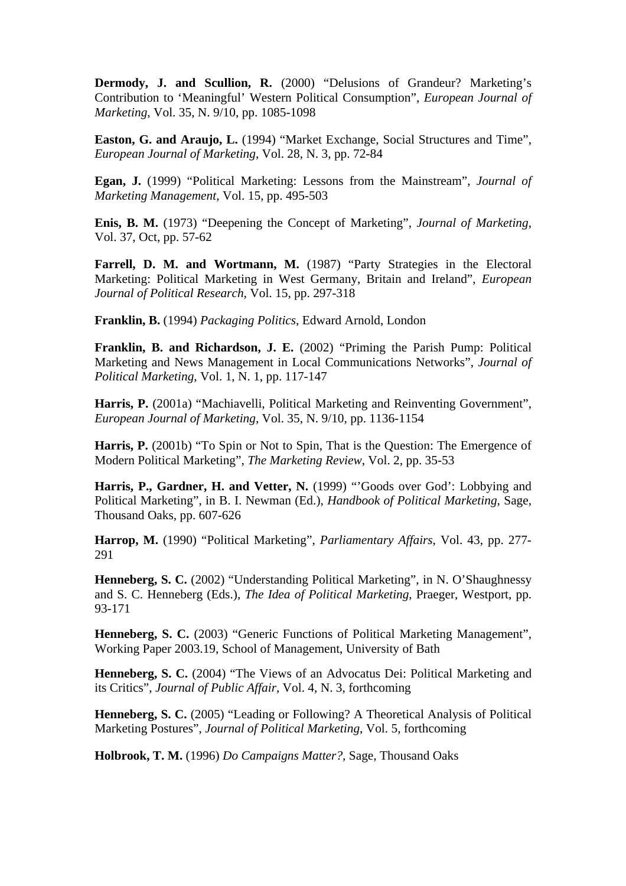**Dermody, J. and Scullion, R.** (2000) "Delusions of Grandeur? Marketing's Contribution to 'Meaningful' Western Political Consumption", *European Journal of Marketing*, Vol. 35, N. 9/10, pp. 1085-1098

**Easton, G. and Araujo, L.** (1994) "Market Exchange, Social Structures and Time", *European Journal of Marketing*, Vol. 28, N. 3, pp. 72-84

**Egan, J.** (1999) "Political Marketing: Lessons from the Mainstream", *Journal of Marketing Management*, Vol. 15, pp. 495-503

**Enis, B. M.** (1973) "Deepening the Concept of Marketing", *Journal of Marketing*, Vol. 37, Oct, pp. 57-62

Farrell, D. M. and Wortmann, M. (1987) "Party Strategies in the Electoral Marketing: Political Marketing in West Germany, Britain and Ireland", *European Journal of Political Research*, Vol. 15, pp. 297-318

**Franklin, B.** (1994) *Packaging Politics*, Edward Arnold, London

**Franklin, B. and Richardson, J. E.** (2002) "Priming the Parish Pump: Political Marketing and News Management in Local Communications Networks", *Journal of Political Marketing*, Vol. 1, N. 1, pp. 117-147

Harris, P. (2001a) "Machiavelli, Political Marketing and Reinventing Government", *European Journal of Marketing*, Vol. 35, N. 9/10, pp. 1136-1154

**Harris, P.** (2001b) "To Spin or Not to Spin, That is the Question: The Emergence of Modern Political Marketing", *The Marketing Review*, Vol. 2, pp. 35-53

Harris, P., Gardner, H. and Vetter, N. (1999) "'Goods over God': Lobbying and Political Marketing", in B. I. Newman (Ed.), *Handbook of Political Marketing*, Sage, Thousand Oaks, pp. 607-626

**Harrop, M.** (1990) "Political Marketing", *Parliamentary Affairs*, Vol. 43, pp. 277- 291

**Henneberg, S. C.** (2002) "Understanding Political Marketing", in N. O'Shaughnessy and S. C. Henneberg (Eds.), *The Idea of Political Marketing*, Praeger, Westport, pp. 93-171

**Henneberg, S. C.** (2003) "Generic Functions of Political Marketing Management", Working Paper 2003.19, School of Management, University of Bath

**Henneberg, S. C.** (2004) "The Views of an Advocatus Dei: Political Marketing and its Critics", *Journal of Public Affair*, Vol. 4, N. 3, forthcoming

**Henneberg, S. C.** (2005) "Leading or Following? A Theoretical Analysis of Political Marketing Postures", *Journal of Political Marketing*, Vol. 5, forthcoming

**Holbrook, T. M.** (1996) *Do Campaigns Matter?,* Sage, Thousand Oaks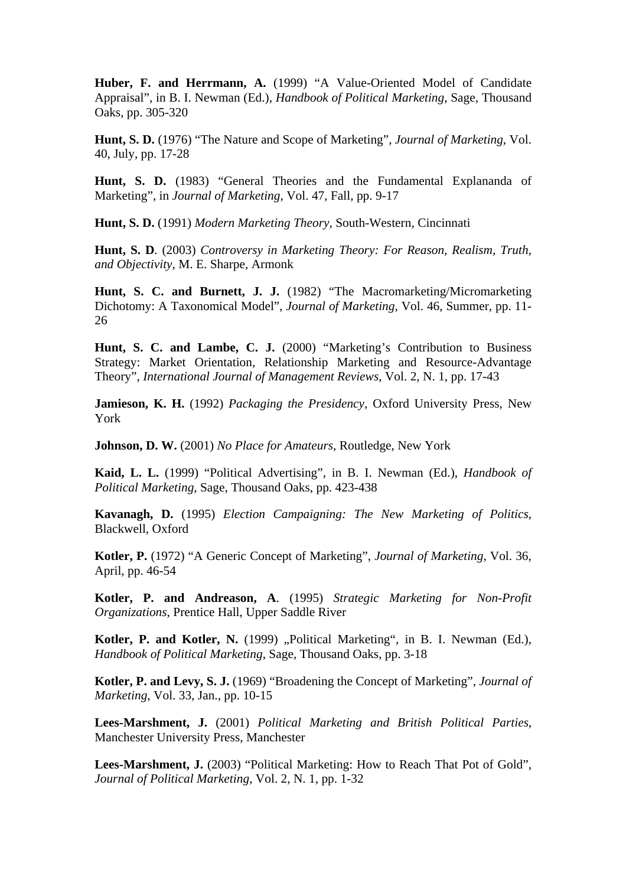**Huber, F. and Herrmann, A.** (1999) "A Value-Oriented Model of Candidate Appraisal", in B. I. Newman (Ed.), *Handbook of Political Marketing*, Sage, Thousand Oaks, pp. 305-320

**Hunt, S. D.** (1976) "The Nature and Scope of Marketing", *Journal of Marketing*, Vol. 40, July, pp. 17-28

**Hunt, S. D.** (1983) "General Theories and the Fundamental Explananda of Marketing", in *Journal of Marketing*, Vol. 47, Fall, pp. 9-17

**Hunt, S. D.** (1991) *Modern Marketing Theory*, South-Western, Cincinnati

**Hunt, S. D**. (2003) *Controversy in Marketing Theory: For Reason, Realism, Truth, and Objectivity*, M. E. Sharpe, Armonk

**Hunt, S. C. and Burnett, J. J.** (1982) "The Macromarketing/Micromarketing Dichotomy: A Taxonomical Model", *Journal of Marketing*, Vol. 46, Summer, pp. 11- 26

Hunt, S. C. and Lambe, C. J. (2000) "Marketing's Contribution to Business Strategy: Market Orientation, Relationship Marketing and Resource-Advantage Theory", *International Journal of Management Reviews*, Vol. 2, N. 1, pp. 17-43

**Jamieson, K. H.** (1992) *Packaging the Presidency*, Oxford University Press, New York

**Johnson, D. W.** (2001) *No Place for Amateurs*, Routledge, New York

**Kaid, L. L.** (1999) "Political Advertising", in B. I. Newman (Ed.), *Handbook of Political Marketing*, Sage, Thousand Oaks, pp. 423-438

**Kavanagh, D.** (1995) *Election Campaigning: The New Marketing of Politics*, Blackwell, Oxford

**Kotler, P.** (1972) "A Generic Concept of Marketing", *Journal of Marketing*, Vol. 36, April, pp. 46-54

**Kotler, P. and Andreason, A**. (1995) *Strategic Marketing for Non-Profit Organizations*, Prentice Hall, Upper Saddle River

Kotler, P. and Kotler, N. (1999) "Political Marketing", in B. I. Newman (Ed.), *Handbook of Political Marketing*, Sage, Thousand Oaks, pp. 3-18

**Kotler, P. and Levy, S. J.** (1969) "Broadening the Concept of Marketing", *Journal of Marketing*, Vol. 33, Jan., pp. 10-15

**Lees-Marshment, J.** (2001) *Political Marketing and British Political Parties*, Manchester University Press, Manchester

Lees-Marshment, J. (2003) "Political Marketing: How to Reach That Pot of Gold", *Journal of Political Marketing*, Vol. 2, N. 1, pp. 1-32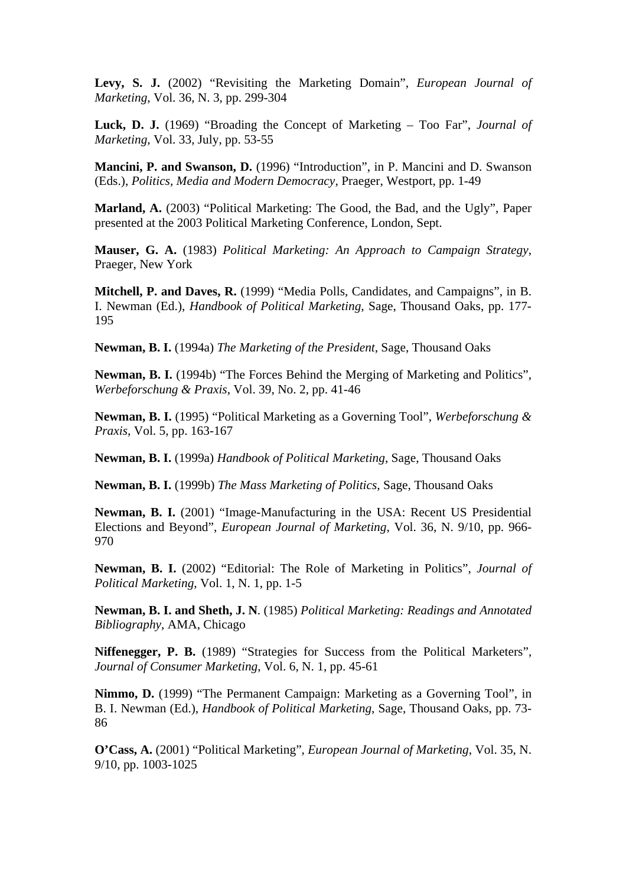**Levy, S. J.** (2002) "Revisiting the Marketing Domain", *European Journal of Marketing*, Vol. 36, N. 3, pp. 299-304

**Luck, D. J.** (1969) "Broading the Concept of Marketing – Too Far", *Journal of Marketing*, Vol. 33, July, pp. 53-55

**Mancini, P. and Swanson, D.** (1996) "Introduction", in P. Mancini and D. Swanson (Eds.), *Politics, Media and Modern Democracy*, Praeger, Westport, pp. 1-49

**Marland, A.** (2003) "Political Marketing: The Good, the Bad, and the Ugly", Paper presented at the 2003 Political Marketing Conference, London, Sept.

**Mauser, G. A.** (1983) *Political Marketing: An Approach to Campaign Strategy*, Praeger, New York

**Mitchell, P. and Daves, R.** (1999) "Media Polls, Candidates, and Campaigns", in B. I. Newman (Ed.), *Handbook of Political Marketing*, Sage, Thousand Oaks, pp. 177- 195

**Newman, B. I.** (1994a) *The Marketing of the President*, Sage, Thousand Oaks

**Newman, B. I.** (1994b) "The Forces Behind the Merging of Marketing and Politics", *Werbeforschung & Praxis*, Vol. 39, No. 2, pp. 41-46

**Newman, B. I.** (1995) "Political Marketing as a Governing Tool", *Werbeforschung & Praxis*, Vol. 5, pp. 163-167

**Newman, B. I.** (1999a) *Handbook of Political Marketing*, Sage, Thousand Oaks

**Newman, B. I.** (1999b) *The Mass Marketing of Politics*, Sage, Thousand Oaks

**Newman, B. I.** (2001) "Image-Manufacturing in the USA: Recent US Presidential Elections and Beyond", *European Journal of Marketing*, Vol. 36, N. 9/10, pp. 966- 970

**Newman, B. I.** (2002) "Editorial: The Role of Marketing in Politics", *Journal of Political Marketing*, Vol. 1, N. 1, pp. 1-5

**Newman, B. I. and Sheth, J. N**. (1985) *Political Marketing: Readings and Annotated Bibliography*, AMA, Chicago

**Niffenegger, P. B.** (1989) "Strategies for Success from the Political Marketers", *Journal of Consumer Marketing*, Vol. 6, N. 1, pp. 45-61

**Nimmo, D.** (1999) "The Permanent Campaign: Marketing as a Governing Tool", in B. I. Newman (Ed.), *Handbook of Political Marketing*, Sage, Thousand Oaks, pp. 73- 86

**O'Cass, A.** (2001) "Political Marketing", *European Journal of Marketing*, Vol. 35, N. 9/10, pp. 1003-1025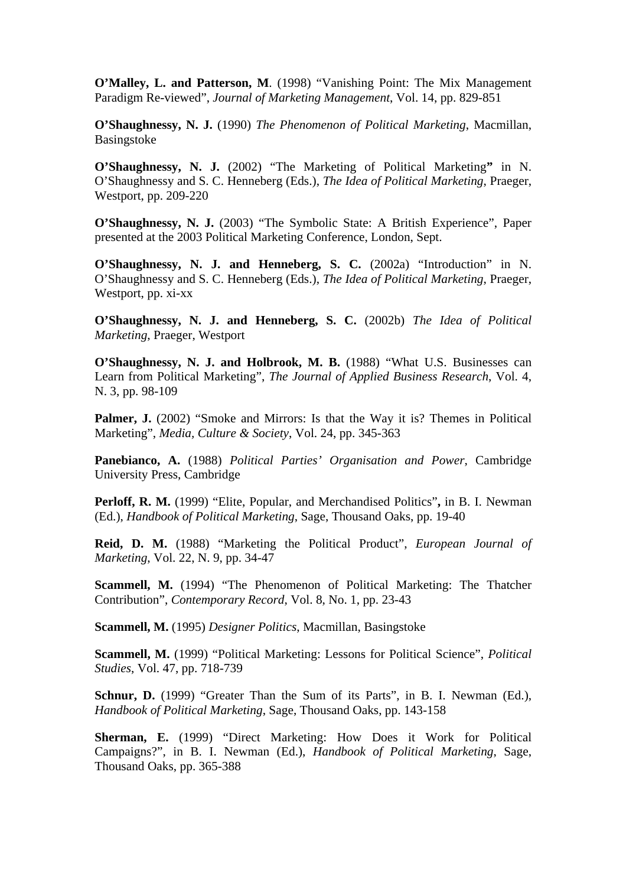**O'Malley, L. and Patterson, M**. (1998) "Vanishing Point: The Mix Management Paradigm Re-viewed", *Journal of Marketing Management*, Vol. 14, pp. 829-851

**O'Shaughnessy, N. J.** (1990) *The Phenomenon of Political Marketing*, Macmillan, Basingstoke

**O'Shaughnessy, N. J.** (2002) "The Marketing of Political Marketing**"** in N. O'Shaughnessy and S. C. Henneberg (Eds.), *The Idea of Political Marketing*, Praeger, Westport, pp. 209-220

**O'Shaughnessy, N. J.** (2003) "The Symbolic State: A British Experience", Paper presented at the 2003 Political Marketing Conference, London, Sept.

**O'Shaughnessy, N. J. and Henneberg, S. C.** (2002a) "Introduction" in N. O'Shaughnessy and S. C. Henneberg (Eds.), *The Idea of Political Marketing*, Praeger, Westport, pp. xi-xx

**O'Shaughnessy, N. J. and Henneberg, S. C.** (2002b) *The Idea of Political Marketing*, Praeger, Westport

**O'Shaughnessy, N. J. and Holbrook, M. B.** (1988) "What U.S. Businesses can Learn from Political Marketing", *The Journal of Applied Business Research*, Vol. 4, N. 3, pp. 98-109

**Palmer, J.** (2002) "Smoke and Mirrors: Is that the Way it is? Themes in Political Marketing", *Media, Culture & Society*, Vol. 24, pp. 345-363

**Panebianco, A.** (1988) *Political Parties' Organisation and Power*, Cambridge University Press, Cambridge

**Perloff, R. M.** (1999) "Elite, Popular, and Merchandised Politics"**,** in B. I. Newman (Ed.), *Handbook of Political Marketing*, Sage, Thousand Oaks, pp. 19-40

**Reid, D. M.** (1988) "Marketing the Political Product", *European Journal of Marketing*, Vol. 22, N. 9, pp. 34-47

**Scammell, M.** (1994) "The Phenomenon of Political Marketing: The Thatcher Contribution", *Contemporary Record*, Vol. 8, No. 1, pp. 23-43

**Scammell, M.** (1995) *Designer Politics*, Macmillan, Basingstoke

**Scammell, M.** (1999) "Political Marketing: Lessons for Political Science", *Political Studies*, Vol. 47, pp. 718-739

Schnur, D. (1999) "Greater Than the Sum of its Parts", in B. I. Newman (Ed.), *Handbook of Political Marketing*, Sage, Thousand Oaks, pp. 143-158

**Sherman, E.** (1999) "Direct Marketing: How Does it Work for Political Campaigns?", in B. I. Newman (Ed.), *Handbook of Political Marketing*, Sage, Thousand Oaks, pp. 365-388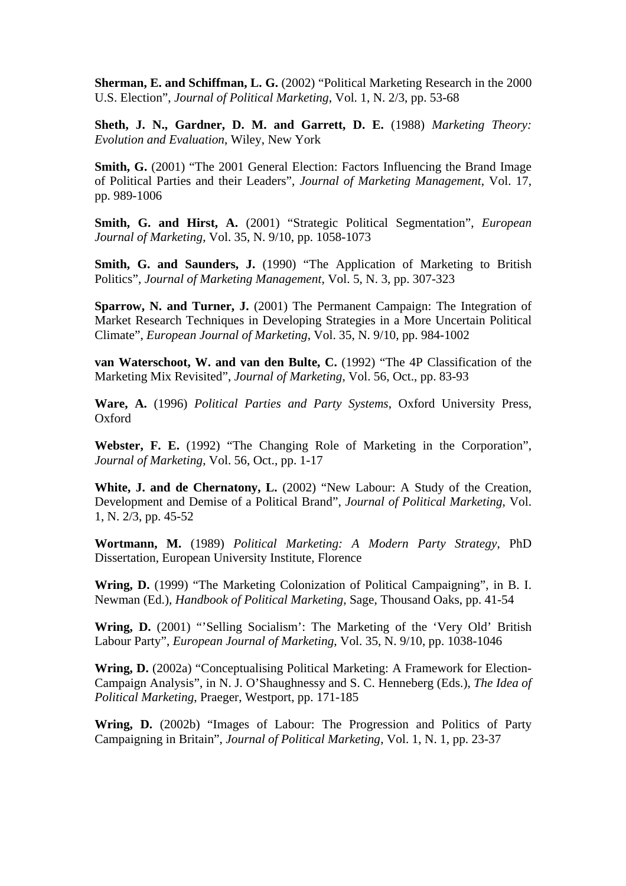**Sherman, E. and Schiffman, L. G.** (2002) "Political Marketing Research in the 2000 U.S. Election", *Journal of Political Marketing*, Vol. 1, N. 2/3, pp. 53-68

**Sheth, J. N., Gardner, D. M. and Garrett, D. E.** (1988) *Marketing Theory: Evolution and Evaluation*, Wiley, New York

**Smith, G.** (2001) "The 2001 General Election: Factors Influencing the Brand Image of Political Parties and their Leaders", *Journal of Marketing Management*, Vol. 17, pp. 989-1006

**Smith, G. and Hirst, A.** (2001) "Strategic Political Segmentation", *European Journal of Marketing*, Vol. 35, N. 9/10, pp. 1058-1073

Smith, G. and Saunders, J. (1990) "The Application of Marketing to British Politics", *Journal of Marketing Management*, Vol. 5, N. 3, pp. 307-323

**Sparrow, N. and Turner, J.** (2001) The Permanent Campaign: The Integration of Market Research Techniques in Developing Strategies in a More Uncertain Political Climate", *European Journal of Marketing*, Vol. 35, N. 9/10, pp. 984-1002

**van Waterschoot, W. and van den Bulte, C.** (1992) "The 4P Classification of the Marketing Mix Revisited", *Journal of Marketing*, Vol. 56, Oct., pp. 83-93

**Ware, A.** (1996) *Political Parties and Party Systems*, Oxford University Press, Oxford

**Webster, F. E.** (1992) "The Changing Role of Marketing in the Corporation", *Journal of Marketing*, Vol. 56, Oct., pp. 1-17

White, **J. and de Chernatony, L.** (2002) "New Labour: A Study of the Creation, Development and Demise of a Political Brand", *Journal of Political Marketing*, Vol. 1, N. 2/3, pp. 45-52

**Wortmann, M.** (1989) *Political Marketing: A Modern Party Strategy*, PhD Dissertation, European University Institute, Florence

**Wring, D.** (1999) "The Marketing Colonization of Political Campaigning", in B. I. Newman (Ed.), *Handbook of Political Marketing*, Sage, Thousand Oaks, pp. 41-54

Wring, D. (2001) "'Selling Socialism': The Marketing of the 'Very Old' British Labour Party", *European Journal of Marketing*, Vol. 35, N. 9/10, pp. 1038-1046

**Wring, D.** (2002a) "Conceptualising Political Marketing: A Framework for Election-Campaign Analysis", in N. J. O'Shaughnessy and S. C. Henneberg (Eds.), *The Idea of Political Marketing*, Praeger, Westport, pp. 171-185

**Wring, D.** (2002b) "Images of Labour: The Progression and Politics of Party Campaigning in Britain", *Journal of Political Marketing*, Vol. 1, N. 1, pp. 23-37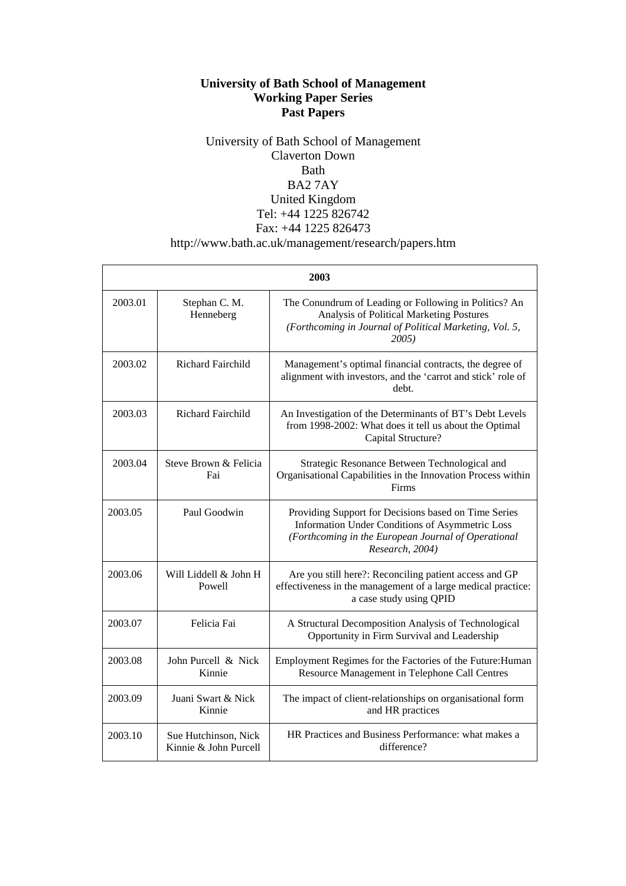#### **University of Bath School of Management Working Paper Series Past Papers**

#### University of Bath School of Management Claverton Down Bath BA2 7AY United Kingdom Tel: +44 1225 826742 Fax: +44 1225 826473 http://www.bath.ac.uk/management/research/papers.htm

| 2003    |                                               |                                                                                                                                                                                   |  |  |
|---------|-----------------------------------------------|-----------------------------------------------------------------------------------------------------------------------------------------------------------------------------------|--|--|
| 2003.01 | Stephan C. M.<br>Henneberg                    | The Conundrum of Leading or Following in Politics? An<br>Analysis of Political Marketing Postures<br>(Forthcoming in Journal of Political Marketing, Vol. 5,<br>2005)             |  |  |
| 2003.02 | Richard Fairchild                             | Management's optimal financial contracts, the degree of<br>alignment with investors, and the 'carrot and stick' role of<br>debt.                                                  |  |  |
| 2003.03 | Richard Fairchild                             | An Investigation of the Determinants of BT's Debt Levels<br>from 1998-2002: What does it tell us about the Optimal<br>Capital Structure?                                          |  |  |
| 2003.04 | Steve Brown & Felicia<br>Fai                  | Strategic Resonance Between Technological and<br>Organisational Capabilities in the Innovation Process within<br>Firms                                                            |  |  |
| 2003.05 | Paul Goodwin                                  | Providing Support for Decisions based on Time Series<br>Information Under Conditions of Asymmetric Loss<br>(Forthcoming in the European Journal of Operational<br>Research, 2004) |  |  |
| 2003.06 | Will Liddell & John H<br>Powell               | Are you still here?: Reconciling patient access and GP<br>effectiveness in the management of a large medical practice:<br>a case study using QPID                                 |  |  |
| 2003.07 | Felicia Fai                                   | A Structural Decomposition Analysis of Technological<br>Opportunity in Firm Survival and Leadership                                                                               |  |  |
| 2003.08 | John Purcell & Nick<br>Kinnie                 | Employment Regimes for the Factories of the Future: Human<br>Resource Management in Telephone Call Centres                                                                        |  |  |
| 2003.09 | Juani Swart & Nick<br>Kinnie                  | The impact of client-relationships on organisational form<br>and HR practices                                                                                                     |  |  |
| 2003.10 | Sue Hutchinson, Nick<br>Kinnie & John Purcell | HR Practices and Business Performance: what makes a<br>difference?                                                                                                                |  |  |